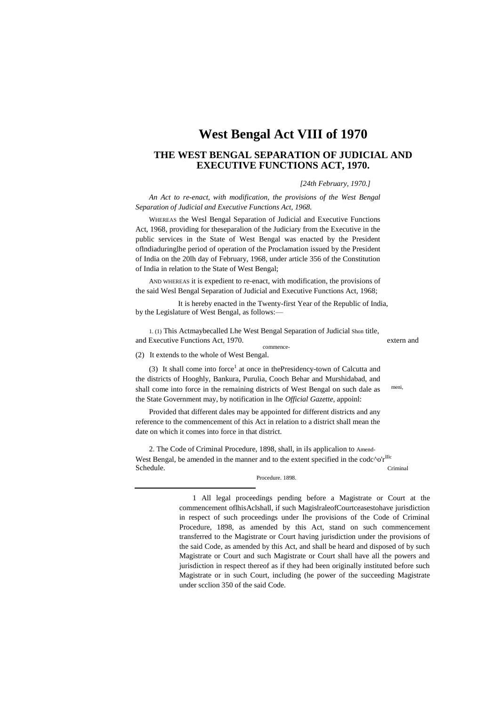# **West Bengal Act VIII of 1970**

# **THE WEST BENGAL SEPARATION OF JUDICIAL AND EXECUTIVE FUNCTIONS ACT, 1970.**

*[24th February, 1970.]*

*An Act to re-enact, with modification, the provisions of the West Bengal Separation of Judicial and Executive Functions Act, 1968.*

WHEREAS the Wesl Bengal Separation of Judicial and Executive Functions Act, 1968, providing for theseparalion of the Judiciary from the Executive in the public services in the State of West Bengal was enacted by the President oflndiaduringlhe period of operation of the Proclamation issued by the President of India on the 20lh day of February, 1968, under article 356 of the Constitution of India in relation to the State of West Bengal;

AND WHEREAS it is expedient to re-enact, with modification, the provisions of the said Wesl Bengal Separation of Judicial and Executive Functions Act, 1968;

It is hereby enacted in the Twenty-first Year of the Republic of India, by the Legislature of West Bengal, as follows:—

1. (1) This Actmaybecalled Lhe West Bengal Separation of Judicial Shon title, and Executive Functions Act, 1970. extern and commence-

(2) It extends to the whole of West Bengal.

<u>.</u>

meni, (3) It shall come into force<sup>1</sup> at once in thePresidency-town of Calcutta and the districts of Hooghly, Bankura, Purulia, Cooch Behar and Murshidabad, and shall come into force in the remaining districts of West Bengal on such dale as the State Government may, by notification in lhe *Official Gazette,* appoinl:

Provided that different dales may be appointed for different districts and any reference to the commencement of this Act in relation to a district shall mean the date on which it comes into force in that district.

2. The Code of Criminal Procedure, 1898, shall, in iIs applicalion to Amend-West Bengal, be amended in the manner and to the extent specified in the codc<sup> $\wedge$ o'r<sup>IIIc</sup></sup> Schedule. Criminal Contract of the Criminal Criminal Criminal Criminal Criminal Criminal Criminal Criminal Criminal Criminal Criminal Criminal Criminal Criminal Criminal Criminal Criminal Criminal Criminal Criminal Crimina

Procedure. 1898.

1 All legal proceedings pending before a Magistrate or Court at the commencement oflhisAclshall, if such MagislraleofCourtceasestohave jurisdiction in respect of such proceedings under Ihe provisions of the Code of Criminal Procedure, 1898, as amended by this Act, stand on such commencement transferred to the Magistrate or Court having jurisdiction under the provisions of the said Code, as amended by this Act, and shall be heard and disposed of by such Magistrate or Court and such Magistrate or Court shall have all the powers and jurisdiction in respect thereof as if they had been originally instituted before such Magistrate or in such Court, including (he power of the succeeding Magistrate under scclion 350 of the said Code.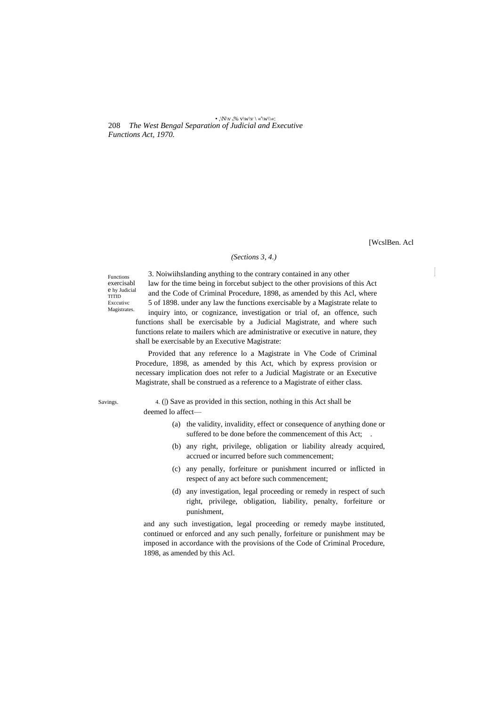208 *The West Bengal Separation of Judicial and Executive* • ,\N\v s% v\w\v \ «'\w\\«: *Functions Act, 1970.*

[WcslBen. Acl

#### *(Sections 3, 4.)*

Functions exercisabl e hy Judicial TITID Exccutivc Magistrates.

3. Noiwiihslanding anything to the contrary contained in any other  $\vert$ law for the time being in forcebut subject to the other provisions of this Act and the Code of Criminal Procedure, 1898, as amended by this Acl, where 5 of 1898. under any law the functions exercisable by a Magistrate relate to inquiry into, or cognizance, investigation or trial of, an offence, such functions shall be exercisable by a Judicial Magistrate, and where such functions relate to mailers which are administrative or executive in nature, they shall be exercisable by an Executive Magistrate:

Provided that any reference lo a Magistrate in Vhe Code of Criminal Procedure, 1898, as amended by this Act, which by express provision or necessary implication does not refer to a Judicial Magistrate or an Executive Magistrate, shall be construed as a reference to a Magistrate of either class.

Savings. 4. () Save as provided in this section, nothing in this Act shall be deemed lo affect—

- (a) the validity, invalidity, effect or consequence of anything done or suffered to be done before the commencement of this Act;
- (b) any right, privilege, obligation or liability already acquired, accrued or incurred before such commencement;
- (c) any penally, forfeiture or punishment incurred or inflicted in respect of any act before such commencement;
- (d) any investigation, legal proceeding or remedy in respect of such right, privilege, obligation, liability, penalty, forfeiture or punishment,

and any such investigation, legal proceeding or remedy maybe instituted, continued or enforced and any such penally, forfeiture or punishment may be imposed in accordance with the provisions of the Code of Criminal Procedure, 1898, as amended by this Acl.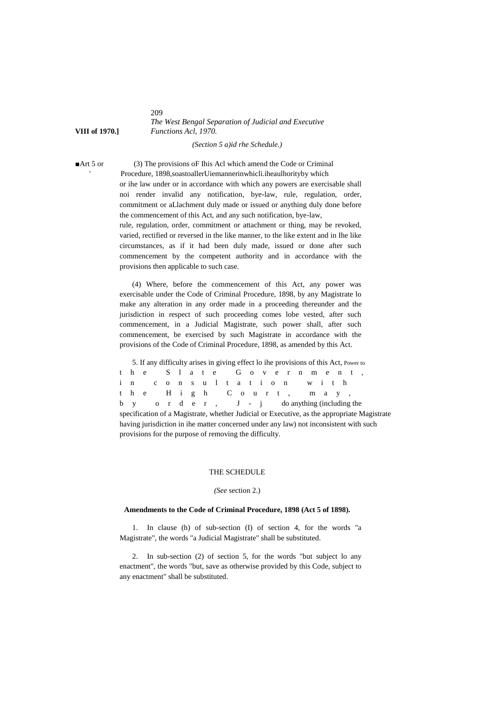# 209 *The West Bengal Separation of Judicial and Executive* **VIII of 1970.]** *Functions Acl, 1970.*

## *(Section 5 a)id rhe Schedule.)*

'

■Art 5 or (3) The provisions oF Ihis Acl which amend the Code or Criminal Procedure, 1898,soastoallerUiemannerinwhicli.iheaulhorityby which or ihe law under or in accordance with which any powers are exercisable shall noi render invalid any notification, bye-law, rule, regulation, order, commitment or aLlachment duly made or issued or anything duly done before the commencement of this Act, and any such notification, bye-law, rule, regulation, order, commitment or attachment or thing, may be revoked, varied, rectified or reversed in the like manner, to the like extent and in Ihe like circumstances, as if it had been duly made, issued or done after such commencement by the competent authority and in accordance with the provisions then applicable to such case.

> (4) Where, before the commencement of this Act, any power was exercisable under the Code of Criminal Procedure, 1898, by any Magistrate lo make any alteration in any order made in a proceeding thereunder and the jurisdiction in respect of such proceeding comes lobe vested, after such commencement, in a Judicial Magistrate, such power shall, after such commencement, be exercised by such Magistrate in accordance with the provisions of the Code of Criminal Procedure, 1898, as amended by this Act.

5. If any difficulty arises in giving effect lo ihe provisions of this Act, Power to t h e S l a t e G o v e r n m e n t , i n c o n s u l t a t i o n w i t h t h e H i g h C o u r t , m a y , b y o r d e r ,  $J - j$  do anything (including the specification of a Magistrate, whether Judicial or Executive, as the appropriate Magistrate having jurisdiction in ihe matter concerned under any law) not inconsistent with such provisions for the purpose of removing the difficulty.

## THE SCHEDULE

## *(See* section 2.)

#### **Amendments to the Code of Criminal Procedure, 1898 (Act 5 of 1898).**

1. In clause (h) of sub-section (I) of section 4, for the words "a Magistrate", the words "a Judicial Magistrate" shall be substituted.

2. In sub-section (2) of section 5, for the words "but subject lo any enactment", the words "but, save as otherwise provided by this Code, subject to any enactment" shall be substituted.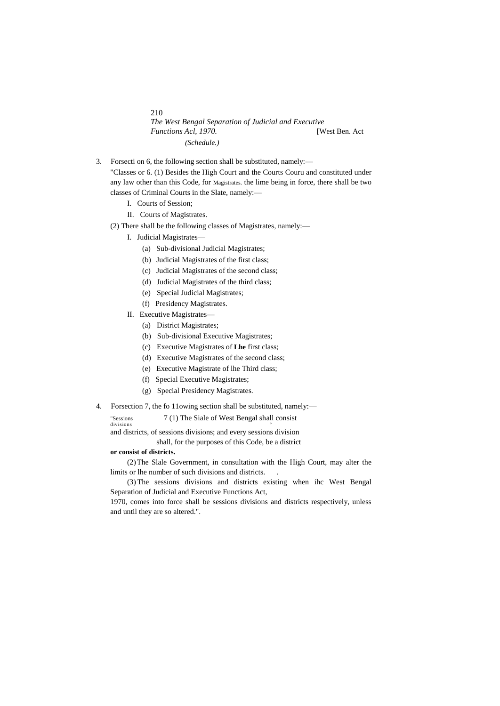210 *The West Bengal Separation of Judicial and Executive Functions Acl, 1970.* [West Ben. Act *(Schedule.)*

- 3. Forsecti on 6, the following section shall be substituted, namely:— "Classes or 6. (1) Besides the High Court and the Courts Couru and constituted under any law other than this Code, for Magistrates. the lime being in force, there shall be two classes of Criminal Courts in the Slate, namely:—
	- I. Courts of Session;
	- II. Courts of Magistrates.
	- (2) There shall be the following classes of Magistrates, namely:—
		- I. Judicial Magistrates—
			- (a) Sub-divisional Judicial Magistrates;
			- (b) Judicial Magistrates of the first class;
			- (c) Judicial Magistrates of the second class;
			- (d) Judicial Magistrates of the third class;
			- (e) Special Judicial Magistrates;
			- (f) Presidency Magistrates.
		- II. Executive Magistrates—
			- (a) District Magistrates;
			- (b) Sub-divisional Executive Magistrates;
			- (c) Executive Magistrates of **Lhe** first class;
			- (d) Executive Magistrates of the second class;
			- (e) Executive Magistrate of lhe Third class;
			- (f) Special Executive Magistrates;
			- (g) Special Presidency Magistrates.
- 4. Forsection 7, the fo 11owing section shall be substituted, namely:—

divisions

"Sessions 7 (1) The Siale of West Bengal shall consist

and districts, of sessions divisions; and every sessions division

shall, for the purposes of this Code, be a district

#### **or consist of districts.**

(2)The Slale Government, in consultation with the High Court, may alter the limits or lhe number of such divisions and districts. .

(3) The sessions divisions and districts existing when ihc West Bengal Separation of Judicial and Executive Functions Act,

1970, comes into force shall be sessions divisions and districts respectively, unless and until they are so altered.".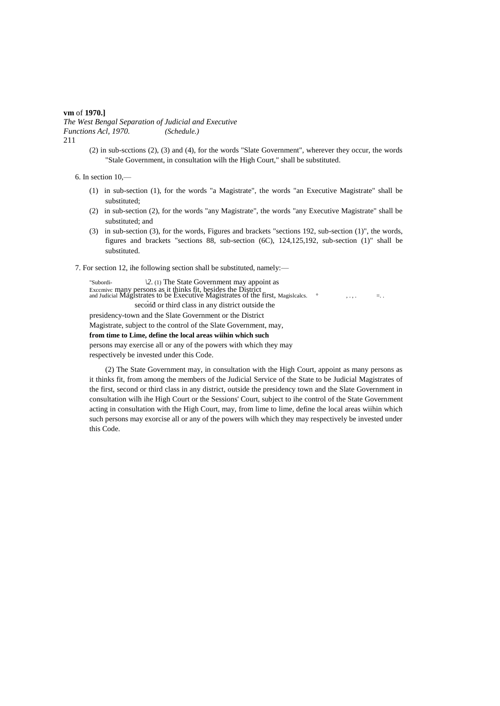## **vm** of **1970.]**

*The West Bengal Separation of Judicial and Executive Functions Acl, 1970.* 211 *(Schedule.)*

> (2) in sub-scctions (2), (3) and (4), for the words "Slate Government", wherever they occur, the words "Stale Government, in consultation wilh the High Court," shall be substituted.

6. In section 10,—

- (1) in sub-section (1), for the words "a Magistrate", the words "an Executive Magistrate" shall be substituted;
- (2) in sub-section (2), for the words "any Magistrate", the words "any Executive Magistrate" shall be substituted; and
- (3) in sub-section (3), for the words, Figures and brackets "sections 192, sub-section (1)", the words, figures and brackets "sections 88, sub-section (6C), 124,125,192, sub-section (1)" shall be substituted.
- 7. For section 12, ihe following section shall be substituted, namely:—

"Subordi-  $\langle 2, (1) \rangle$  The State Government may appoint as Exccmivc many persons as it thinks fit, besides the District and Judicial Magistrates to be Executive Magistrates of the first, Magislcalcs. ° , . , . =. . second or third class in any district outside the presidency-town and the Slate Government or the District Magistrate, subject to the control of the Slate Government, may, **from time to Lime, define the local areas wiihin which such** persons may exercise all or any of the powers with which they may

respectively be invested under this Code.

(2) The State Government may, in consultation with the High Court, appoint as many persons as it thinks fit, from among the members of the Judicial Service of the State to be Judicial Magistrates of the first, second or third class in any district, outside the presidency town and the Slate Government in consultation wilh ihe High Court or the Sessions' Court, subject to ihe control of the State Government acting in consultation with the High Court, may, from lime to lime, define the local areas wiihin which such persons may exorcise all or any of the powers wilh which they may respectively be invested under this Code.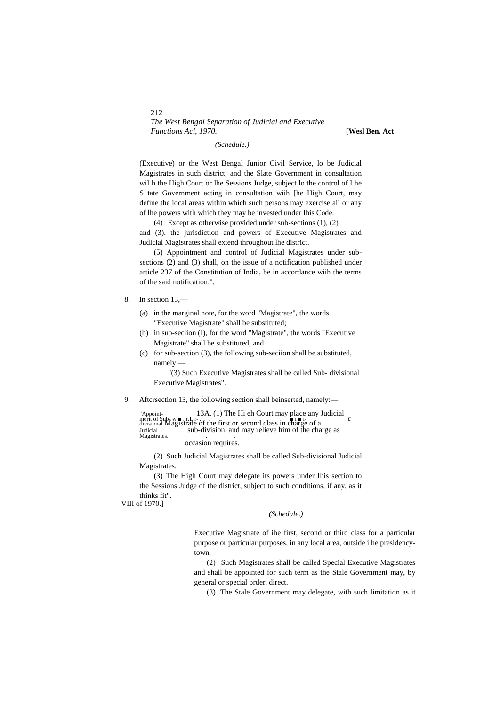## 212 *The West Bengal Separation of Judicial and Executive Functions Acl, 1970.* **[Wesl Ben. Act**

## *(Schedule.)*

(Executive) or the West Bengal Junior Civil Service, lo be Judicial Magistrates in such district, and the Slate Government in consultation wiLh the High Court or lhe Sessions Judge, subject lo the control of I he S tate Government acting in consultation wiih [he High Court, may define the local areas within which such persons may exercise all or any of lhe powers with which they may be invested under Ihis Code.

(4) Except as otherwise provided under sub-sections (1), (2) and (3). the jurisdiction and powers of Executive Magistrates and Judicial Magistrates shall extend throughout lhe district.

(5) Appointment and control of Judicial Magistrates under subsections (2) and (3) shall, on the issue of a notification published under article 237 of the Constitution of India, be in accordance wiih the terms of the said notification.".

- 8. In section 13,—
	- (a) in the marginal note, for the word "Magistrate", the words "Executive Magistrate" shall be substituted;
	- (b) in sub-seciion (I), for the word "Magistrate", the words "Executive Magistrate" shall be substituted; and
	- (c) for sub-section (3), the following sub-seciion shall be substituted, namely:—

"(3) Such Executive Magistrates shall be called Sub- divisional Executive Magistrates".

9. Aftcrsection 13, the following section shall beinserted, namely:—

"Appoint-<br> $\frac{13A}{\pi}$ . 13A. (1) The Hi eh Court may place any Judicial c merit of Sub- w ■ . r.L r- . ■ i ■ i- *c* divisional Magistrate of the first or second class in charge of a Judicial sub-division, and may relieve him of the charge as Magistrates occasion requires.

(2) Such Judicial Magistrates shall be called Sub-divisional Judicial Magistrates.

(3) The High Court may delegate its powers under Ihis section to the Sessions Judge of the district, subject to such conditions, if any, as it thinks fit".

VIII of 1970.]

#### *(Schedule.)*

Executive Magistrate of ihe first, second or third class for a particular purpose or particular purposes, in any local area, outside i he presidencytown.

(2) Such Magistrates shall be called Special Executive Magistrates and shall be appointed for such term as the Stale Government may, by general or special order, direct.

(3) The Stale Government may delegate, with such limitation as it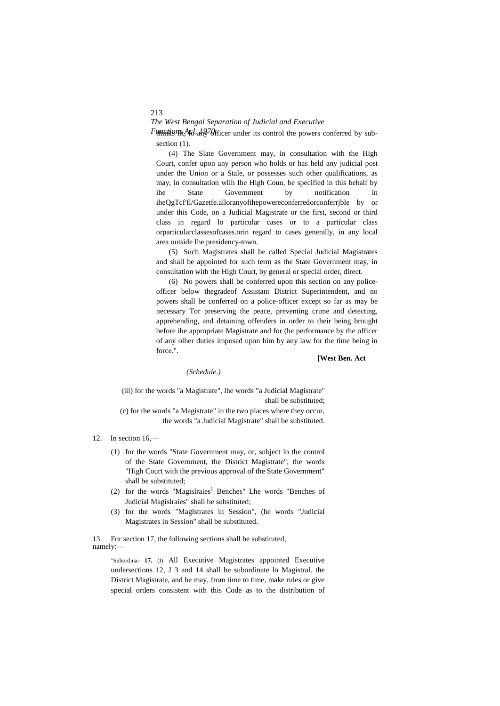# *The West Bengal Separation of Judicial and Executive*

*Functions Acd, any lefticer under its control the powers conferred by sub*section  $(1)$ .

(4) The Slate Government may, in consultation with the High Court, confer upon any person who holds or has held any judicial post under the Union or a Stale, or possesses such other qualifications, as may, in consultation wilh Ihe High Coun, be specified in this behalf by ihe State Government by notification in iheQgTcf'fl/Gazetfe.alloranyofthepowereconferredorconferrjble by or under this Code, on a Judicial Magistrate or the first, second or third class in regard lo particular cases or to a particular class orparticularclassesofcases.orin regard to cases generally, in any local area outside Ihe presidency-town.

(5) Such Magistrates shall be called Special Judicial Magistrates and shall be appointed for such term as the State Government may, in consultation with the High Court, by general or special order, direct.

(6) No powers shall be conferred upon this section on any policeofficer below thegradeof Assistant District Superintendent, and no powers shall be conferred on a police-officer except so far as may be necessary Tor preserving the peace, preventing crime and detecting, apprehending, and detaining offenders in order to their being brought before ihe appropriate Magistrate and for (he performance by the officer of any olher duties imposed upon him by any law for the time being in force.".

**[West Ben. Act**

## *(Schedule.)*

(iii) for the words "a Magistrate", lhe words "a Judicial Magistrate" shall be substituted;

(c) for the words "a Magistrate" in the two places where they occur, the words "a Judicial Magistrate" shall be substituted.

- (1) for the words "State Government may, or, subject lo the control of the State Government, the District Magistrate", the words "High Court with the previous approval of the State Government" shall be substituted;
- (2) for the words "Magislraies<sup>1</sup> Benches" Lhe words "Benches of Judicial Magislraies" shall be substituted;
- (3) for the words "Magistrates in Session", (he words "Judicial Magistrates in Session" shall be substituted.

13. For section 17, the following sections shall be substituted, namely:—

"Subordina- **17.** (I) All Executive Magistrates appointed Executive undersections 12, J 3 and 14 shall be subordinate lo Magistral. the District Magistrate, and he may, from time to time, make rules or give special orders consistent with this Code as to the distribution of

213

<sup>12.</sup> In section 16,—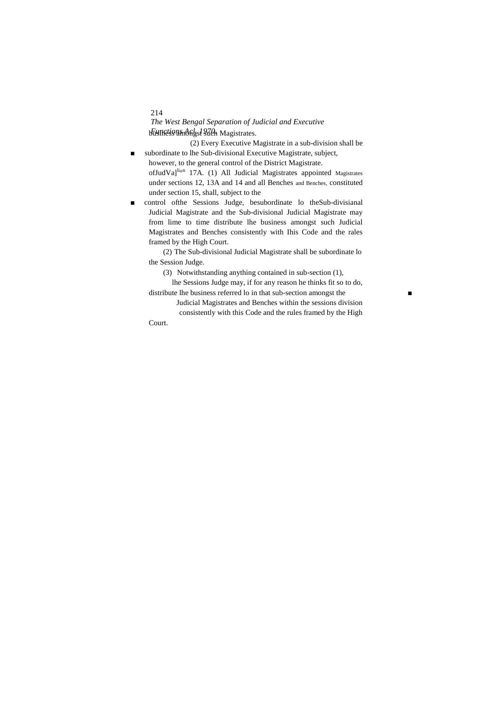214

# *The West Bengal Separation of Judicial and Executive Functions Angst 270. Magistrates.*

(2) Every Executive Magistrate in a sub-division shall be ■ subordinate to lhe Sub-divisional Executive Magistrate, subject,

however, to the general control of the District Magistrate. ofJudVa]<sup>lion</sup> 17A. (1) All Judicial Magistrates appointed Magistrates under sections 12, 13A and 14 and all Benches and Benches, constituted under section 15, shall, subject to the

■ control of the Sessions Judge, besubordinate lo theSub-divisianal Judicial Magistrate and the Sub-divisional Judicial Magistrate may from lime to time distribute lhe business amongst such Judicial Magistrates and Benches consistently with Ihis Code and the rales framed by the High Court.

(2) The Sub-divisional Judicial Magistrate shall be subordinate lo the Session Judge.

(3) Notwithstanding anything contained in sub-section (1),

lhe Sessions Judge may, if for any reason he thinks fit so to do, distribute lhe business referred lo in that sub-section amongst the ■■

Judicial Magistrates and Benches within the sessions division consistently with this Code and the rules framed by the High

Court.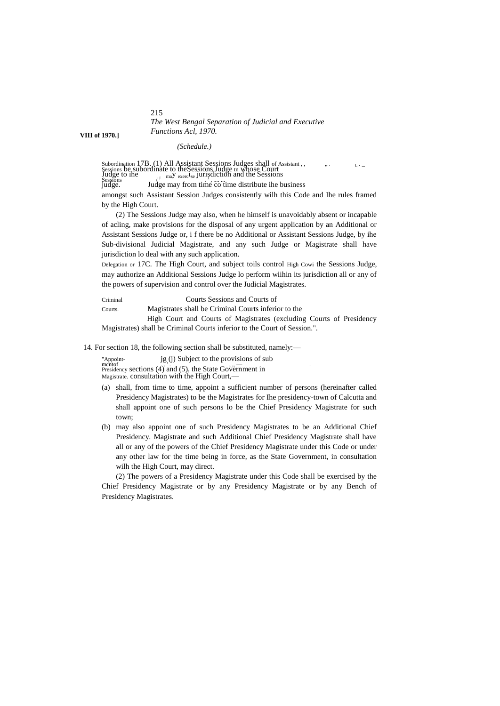215 *The West Bengal Separation of Judicial and Executive Functions Acl, 1970.* **VIII of 1970.]**

*(Schedule.)*

Subordination 17B. (1) All Assistant Sessions Judges shall of Assistant , , " . <sup>L</sup> . \_ Sessions be subordinate to theSessions Judge tn whose Court Judge to ihe may exercise jurisdiction and the Sessions Sessions / <sup>J</sup> . J judge. Judge may from time co time distribute ihe business amongst such Assistant Session Judges consistently wilh this Code and Ihe rules framed by the High Court.

(2) The Sessions Judge may also, when he himself is unavoidably absent or incapable of acling, make provisions for the disposal of any urgent application by an Additional or Assistant Sessions Judge or, i f there be no Additional or Assistant Sessions Judge, by ihe Sub-divisional Judicial Magistrate, and any such Judge or Magistrate shall have jurisdiction lo deal with any such application.

Delegation or 17C. The High Court, and subject toils control High Cowi the Sessions Judge, may authorize an Additional Sessions Judge lo perform wiihin its jurisdiction all or any of the powers of supervision and control over the Judicial Magistrates.

Criminal Courts Sessions and Courts of Courts. Magistrates shall be Criminal Courts inferior to the High Court and Courts of Magistrates (excluding Courts of Presidency Magistrates) shall be Criminal Courts inferior to the Court of Session.".

14. For section 18, the following section shall be substituted, namely:—

"Appoint- jg (j) Subject to the provisions of sub mentof<br>Presidency sections (4) and (5), the State Government in Magistrate. consultation with the High Court,—

- (a) shall, from time to time, appoint a sufficient number of persons (hereinafter called Presidency Magistrates) to be the Magistrates for Ihe presidency-town of Calcutta and shall appoint one of such persons lo be the Chief Presidency Magistrate for such town;
- (b) may also appoint one of such Presidency Magistrates to be an Additional Chief Presidency. Magistrate and such Additional Chief Presidency Magistrate shall have all or any of the powers of the Chief Presidency Magistrate under this Code or under any other law for the time being in force, as the State Government, in consultation wilh the High Court, may direct.

(2) The powers of a Presidency Magistrate under this Code shall be exercised by the Chief Presidency Magistrate or by any Presidency Magistrate or by any Bench of Presidency Magistrates.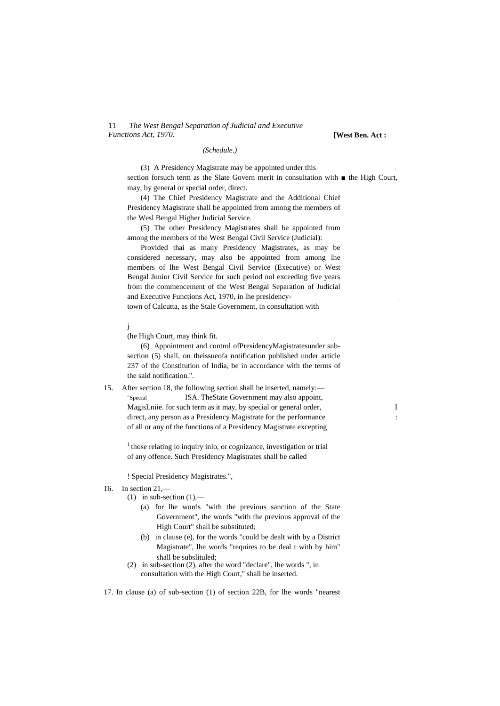## 11 *The West Bengal Separation of Judicial and Executive Functions Act, 1970.* **[West Ben. Act :**

## *(Schedule.)*

(3) A Presidency Magistrate may be appointed under this **<sup>j</sup>** section forsuch term as the Slate Govern merit in consultation with ■ the High Court, may, by general or special order, direct.

(4) The Chief Presidency Magistrate and the Additional Chief Presidency Magistrate shall be appointed from among the members of the Wesl Bengal Higher Judicial Service.

(5) The other Presidency Magistrates shall be appointed from among the members of the West Bengal Civil Service (Judicial):

Provided thai as many Presidency Magistrates, as may be considered necessary, may also be appointed from among lhe members of lhe West Bengal Civil Service (Executive) or West Bengal Junior Civil Service for such period nol exceeding five years from the commencement of the West Bengal Separation of Judicial and Executive Functions Act, 1970, in lhe presidencytown of Calcutta, as the Stale Government, in consultation with

j

(he High Court, may think fit. **<sup>i</sup>**

(6) Appointment and control ofPresidencyMagistratesunder subsection (5) shall, on theissueofa notification published under article 237 of the Constitution of India, be in accordance with the terms of the said notification.".

15. After section 18, the following section shall be inserted, namely:— "Special ISA. TheState Government may also appoint, MagisLniie. for such term as it may, by special or general order, I direct, any person as a Presidency Magistrate for the performance of all or any of the functions of a Presidency Magistrate excepting

 $1$ <sup>1</sup> those relating lo inquiry inlo, or cognizance, investigation or trial of any offence. Such Presidency Magistrates shall be called

! Special Presidency Magistrates.",

#### 16. In section 21,—

- (1) in sub-section  $(1)$ ,—
	- (a) for lhe words "with the previous sanction of the State Government", the words "with the previous approval of the High Court" shall be substituted;
	- (b) in clause (e), for the words "could be dealt with by a District Magistrate", lhe words "requires to be deal t with by him" shall be subslituled;
- (2) in sub-section (2), after the word "declare", lhe words ", in consultation with the High Court," shall be inserted.

#### 17. In clause (a) of sub-section (1) of section 22B, for lhe words "nearest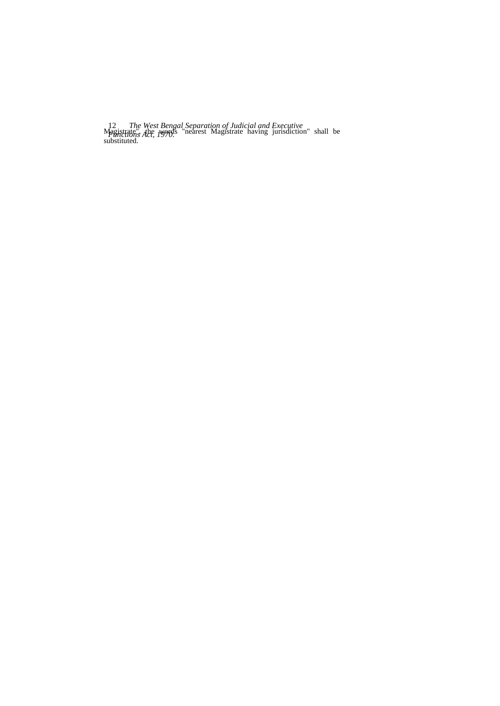12 *The West Bengal Separation of Judicial and Executive*<br>*Magistrate the words* "nearest Magistrate having jurisdiction" shall be<br>substituted.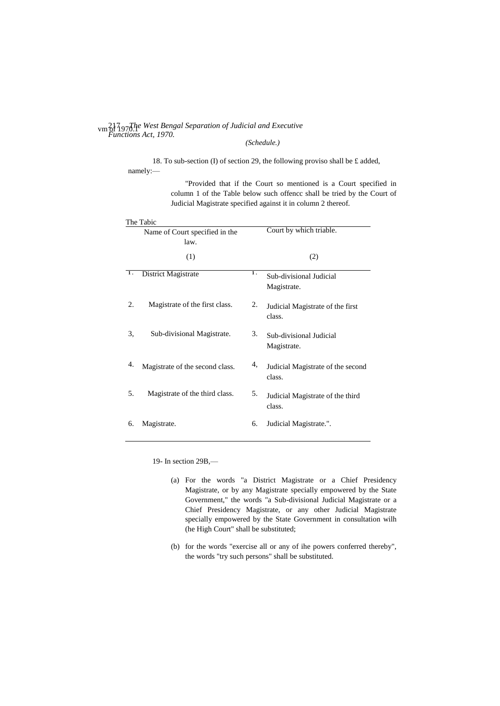## 217 *The West Bengal Separation of Judicial and Executive* vm 6f 1970.<sup>*Ie west beng*<br>*Functions Act, 1970.*</sup>

*(Schedule.)*

18. To sub-section (I) of section 29, the following proviso shall be £ added, namely:—

> "Provided that if the Court so mentioned is a Court specified in column 1 of the Table below such offencc shall be tried by the Court of Judicial Magistrate specified against it in column 2 thereof.

| The Tabic |                                        |                  |                                             |
|-----------|----------------------------------------|------------------|---------------------------------------------|
|           | Name of Court specified in the<br>law. |                  | Court by which triable.                     |
|           | (1)                                    |                  | (2)                                         |
| 1.        | District Magistrate                    | $\overline{1}$ . | Sub-divisional Judicial<br>Magistrate.      |
| 2.        | Magistrate of the first class.         | 2.               | Judicial Magistrate of the first<br>class.  |
| 3.        | Sub-divisional Magistrate.             | 3.               | Sub-divisional Judicial<br>Magistrate.      |
| 4.        | Magistrate of the second class.        | 4,               | Judicial Magistrate of the second<br>class. |
| .5.       | Magistrate of the third class.         | 5.               | Judicial Magistrate of the third<br>class.  |
| 6.        | Magistrate.                            | 6.               | Judicial Magistrate.".                      |

19- In section 29B,—

- (a) For the words "a District Magistrate or a Chief Presidency Magistrate, or by any Magistrate specially empowered by the State Government," the words "a Sub-divisional Judicial Magistrate or a Chief Presidency Magistrate, or any other Judicial Magistrate specially empowered by the State Government in consultation wilh (he High Court" shall be substituted;
- (b) for the words "exercise all or any of ihe powers conferred thereby", the words "try such persons" shall be substituted.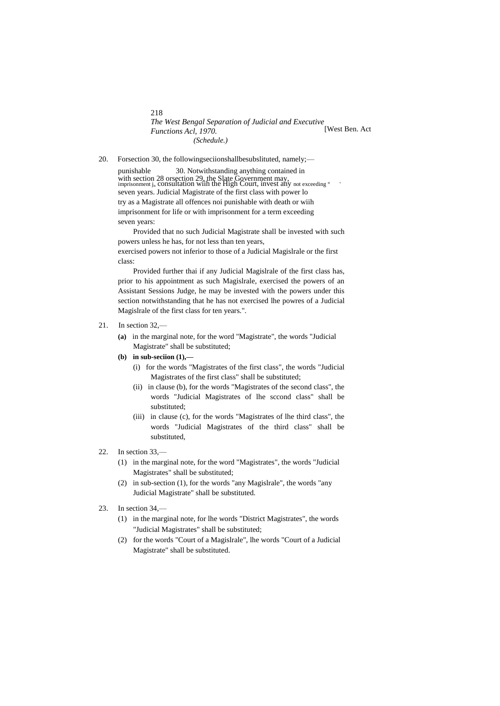218 *The West Bengal Separation of Judicial and Executive Functions Acl, 1970. (Schedule.)*

20. Forsection 30, the followingseciionshallbesubslituted, namely;—

punishable 30. Notwithstanding anything contained in with section 28 orsection 29, the Slate Government may,<br>imprisonment j<sub>n</sub> consultation with the High Court, invest any not exceeding ° seven years. Judicial Magistrate of the first class with power lo try as a Magistrate all offences noi punishable with death or wiih imprisonment for life or with imprisonment for a term exceeding seven years:

Provided that no such Judicial Magistrate shall be invested with such powers unless he has, for not less than ten years, exercised powers not inferior to those of a Judicial Magislrale or the first

class:

Provided further thai if any Judicial Magislrale of the first class has, prior to his appointment as such Magislrale, exercised the powers of an Assistant Sessions Judge, he may be invested with the powers under this section notwithstanding that he has not exercised lhe powres of a Judicial Magislrale of the first class for ten years.".

- 21. In section 32,—
	- **(a)** in the marginal note, for the word "Magistrate", the words "Judicial Magistrate" shall be substituted;
	- **(b) in sub-seciion (1),—**
		- (i) for the words "Magistrates of the first class", the words "Judicial Magistrates of the first class" shall be substituted;
		- (ii) in clause (b), for the words "Magistrates of the second class", the words "Judicial Magistrates of lhe sccond class" shall be substituted;
		- (iii) in clause (c), for the words "Magistrates of lhe third class", the words "Judicial Magistrates of the third class" shall be substituted,
- 22. In section 33,—
	- (1) in the marginal note, for the word "Magistrates", the words "Judicial Magistrates" shall be substituted;
	- (2) in sub-section (1), for the words "any Magislrale", the words "any Judicial Magistrate" shall be substituted.
- 23. In section 34,—
	- (1) in the marginal note, for lhe words "District Magistrates", the words "Judicial Magistrates" shall be substituted;
	- (2) for the words "Court of a Magislrale", lhe words "Court of a Judicial Magistrate" shall be substituted.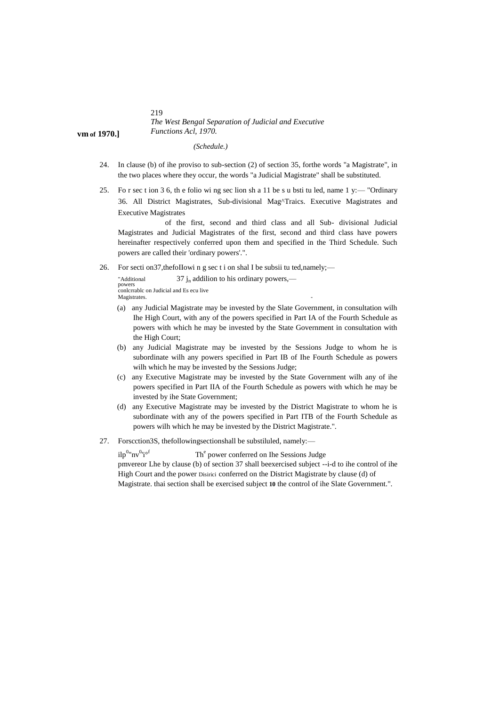219 *The West Bengal Separation of Judicial and Executive Functions Acl, 1970. Functions Acl, 1970.* 

*(Schedule.)*

- 24. In clause (b) of ihe proviso to sub-section (2) of section 35, forthe words "a Magistrate", in the two places where they occur, the words "a Judicial Magistrate" shall be substituted.
- 25. Fo r sec t ion 3 6, th e folio wi ng sec lion sh a 11 be s u bsti tu led, name  $1 y$ : "Ordinary" 36. All District Magistrates, Sub-divisional Mag^Traics. Executive Magistrates and Executive Magistrates

of the first, second and third class and all Sub- divisional Judicial Magistrates and Judicial Magistrates of the first, second and third class have powers hereinafter respectively conferred upon them and specified in the Third Schedule. Such powers are called their 'ordinary powers'.".

26. For secti on37,thefoIIowi n g sec t i on shal I be subsii tu ted,namely;—

"Additional 37  $j_n$  addition to his ordinary powers,—<br>powers conlcrrablc on Judicial and Es ecu live Magistrates

- (a) any Judicial Magistrate may be invested by the Slate Government, in consultation wilh Ihe High Court, with any of the powers specified in Part IA of the Fourth Schedule as powers with which he may be invested by the State Government in consultation with the High Court;
- (b) any Judicial Magistrate may be invested by the Sessions Judge to whom he is subordinate wilh any powers specified in Part IB of Ihe Fourth Schedule as powers wilh which he may be invested by the Sessions Judge;
- (c) any Executive Magistrate may be invested by the State Government wilh any of ihe powers specified in Part IIA of the Fourth Schedule as powers with which he may be invested by ihe State Government;
- (d) any Executive Magistrate may be invested by the District Magistrate to whom he is subordinate with any of the powers specified in Part ITB of the Fourth Schedule as powers wilh which he may be invested by the District Magistrate.".
- 27. Forscction3S, thefollowingsectionshall be substiluled, namely:—

ilp $^{0}$ "nv $^{0}$ The power conferred on Ihe Sessions Judge pmvereor Lhe by clause (b) of section 37 shall beexercised subject --i-d to ihe control of ihe High Court and the power Disirici conferred on the District Magistrate by clause (d) of Magistrate. thai section shall be exercised subject **10** the control of ihe Slate Government.".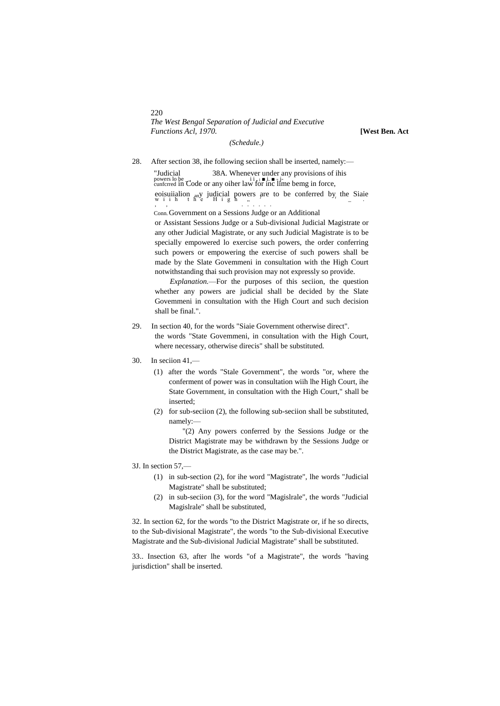220 *The West Bengal Separation of Judicial and Executive Functions Acl, 1970.* **[West Ben. Act** *(Schedule.)*

28. After section 38, ihe following seciion shall be inserted, namely:— "Judicial 38A. Whenever under any provisions of ihis powers lo be  $\overline{C}$  cunfcrred in Code or any oiher law for inc lime bemg in force, eoisuiialion <sub>an</sub>y judicial powers are to be conferred by the Siaie  $\frac{1}{n}$  i h t h e H i g h  $\frac{1}{n}$ . Conn.Government on a Sessions Judge or an Additional

or Assistant Sessions Judge or a Sub-divisional Judicial Magistrate or any other Judicial Magistrate, or any such Judicial Magistrate is to be specially empowered lo exercise such powers, the order conferring such powers or empowering the exercise of such powers shall be made by the Slate Govemmeni in consultation with the High Court notwithstanding thai such provision may not expressly so provide.

*Explanation.*—For the purposes of this seciion, the question whether any powers are judicial shall be decided by the Slate Govemmeni in consultation with the High Court and such decision shall be final.".

- 29. In section 40, for the words "Siaie Government otherwise direct". the words "State Govemmeni, in consultation with the High Court, where necessary, otherwise direcis" shall be substituted.
- 30. In seciion 41,—
	- (1) after the words "Stale Government", the words "or, where the conferment of power was in consultation wiih lhe High Court, ihe State Government, in consultation with the High Court," shall be inserted;
	- (2) for sub-seciion (2), the following sub-seciion shall be substituted, namely:—

"(2) Any powers conferred by the Sessions Judge or the District Magistrate may be withdrawn by the Sessions Judge or the District Magistrate, as the case may be.".

## 3J. In section 57,—

- (1) in sub-section (2), for ihe word "Magistrate", lhe words "Judicial Magistrate" shall be substituted;
- (2) in sub-seciion (3), for the word "Magislrale", the words "Judicial Magislrale" shall be substituted,

32. In section 62, for the words "to the District Magistrate or, if he so directs, to the Sub-divisional Magistrate", the words "to the Sub-divisional Executive Magistrate and the Sub-divisional Judicial Magistrate" shall be substituted.

33.. Insection 63, after lhe words "of a Magistrate", the words "having jurisdiction" shall be inserted.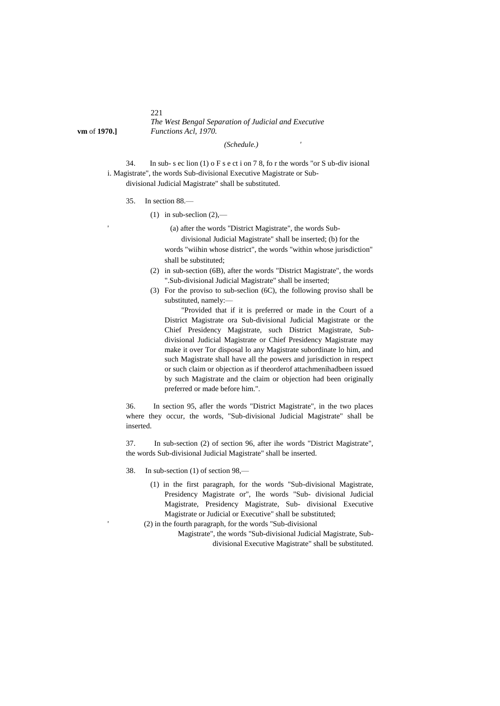221 *The West Bengal Separation of Judicial and Executive* **vm** of **1970.]** *Functions Acl, 1970.*

*(Schedule.) '*

34. In sub- s ec lion (1) o F s e ct i on 7 8, fo r the words "or S ub-div isional i. Magistrate", the words Sub-divisional Executive Magistrate or Subdivisional Judicial Magistrate" shall be substituted.

- 35. In section 88.—
	- (1) in sub-seclion  $(2)$ ,—

(a) after the words "District Magistrate", the words Sub-

divisional Judicial Magistrate" shall be inserted; (b) for the words "wiihin whose district", the words "within whose jurisdiction" shall be substituted;

- (2) in sub-section (6B), after the words "District Magistrate", the words ".Sub-divisional Judicial Magistrate" shall be inserted;
- (3) For the proviso to sub-seclion (6C), the following proviso shall be substituted, namely:—

"Provided that if it is preferred or made in the Court of a District Magistrate ora Sub-divisional Judicial Magistrate or the Chief Presidency Magistrate, such District Magistrate, Subdivisional Judicial Magistrate or Chief Presidency Magistrate may make it over Tor disposal lo any Magistrate subordinate lo him, and such Magistrate shall have all the powers and jurisdiction in respect or such claim or objection as if theorderof attachmenihadbeen issued by such Magistrate and the claim or objection had been originally preferred or made before him.".

36. In section 95, afler the words "District Magistrate", in the two places where they occur, the words, "Sub-divisional Judicial Magistrate" shall be inserted.

37. In sub-section (2) of section 96, after ihe words "District Magistrate", the words Sub-divisional Judicial Magistrate" shall be inserted.

- 38. In sub-section (1) of section 98,—
	- (1) in the first paragraph, for the words "Sub-divisional Magistrate, Presidency Magistrate or", Ihe words "Sub- divisional Judicial Magistrate, Presidency Magistrate, Sub- divisional Executive Magistrate or Judicial or Executive" shall be substituted;
	- (2) in the fourth paragraph, for the words "Sub-divisional
		- Magistrate", the words "Sub-divisional Judicial Magistrate, Subdivisional Executive Magistrate" shall be substituted.

'

'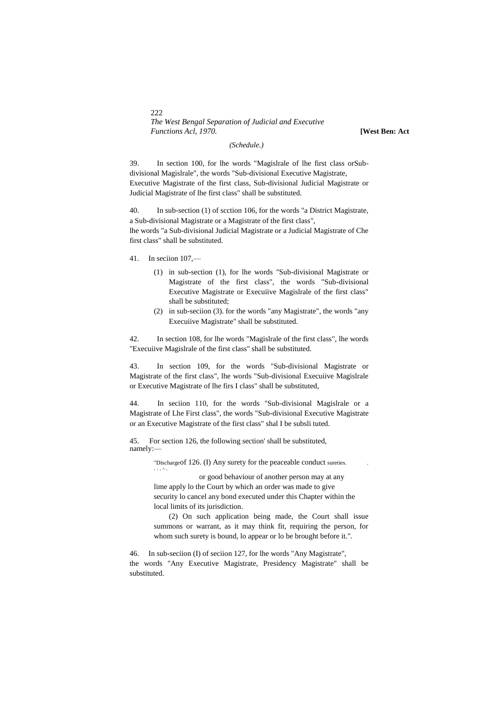222 *The West Bengal Separation of Judicial and Executive Functions Acl, 1970.* **[West Ben: Act**

#### *(Schedule.)*

39. In section 100, for lhe words "Magislrale of lhe first class orSubdivisional Magislrale", the words "Sub-divisional Executive Magistrate, Executive Magistrate of the first class, Sub-divisional Judicial Magistrate or Judicial Magistrate of lhe first class" shall be substituted.

40. In sub-section (1) of scction 106, for the words "a District Magistrate, a Sub-divisional Magistrate or a Magistrate of the first class", lhe words "a Sub-divisional Judicial Magistrate or a Judicial Magistrate of Che first class" shall be substituted.

- 41. In seciion 107,—
	- (1) in sub-section (1), for lhe words "Sub-divisional Magistrate or Magistrate of the first class", the words "Sub-divisional Executive Magistrate or Execuiive Magislrale of the first class" shall be substituted;
	- (2) in sub-seciion (3). for the words "any Magistrate", the words "any Execuiive Magistrate" shall be substituted.

42. In section 108, for lhe words "Magislrale of the first class", lhe words "Execuiive Magislrale of the first class" shall be substituted.

43. In section 109, for the words "Sub-divisional Magistrate or Magistrate of the first class", lhe words "Sub-divisional Execuiive Magislrale or Executive Magistrate of lhe firs I class" shall be substituted,

44. In seciion 110, for the words "Sub-divisional Magislrale or a Magistrate of Lhe First class", the words "Sub-divisional Executive Magistrate or an Executive Magistrate of the first class" shal I be subsli tuted.

45. For section 126, the following section' shall be substituted, namely:—

> "Dischargeof 126. (I) Any surety for the peaceable conduct sureties. . . . . - .

or good behaviour of another person may at any lime apply lo the Court by which an order was made to give security lo cancel any bond executed under this Chapter within the local limits of its jurisdiction.

(2) On such application being made, the Court shall issue summons or warrant, as it may think fit, requiring the person, for whom such surety is bound, lo appear or lo be brought before it.".

46. In sub-seciion (I) of seciion 127, for lhe words "Any Magistrate", the words "Any Executive Magistrate, Presidency Magistrate" shall be substituted.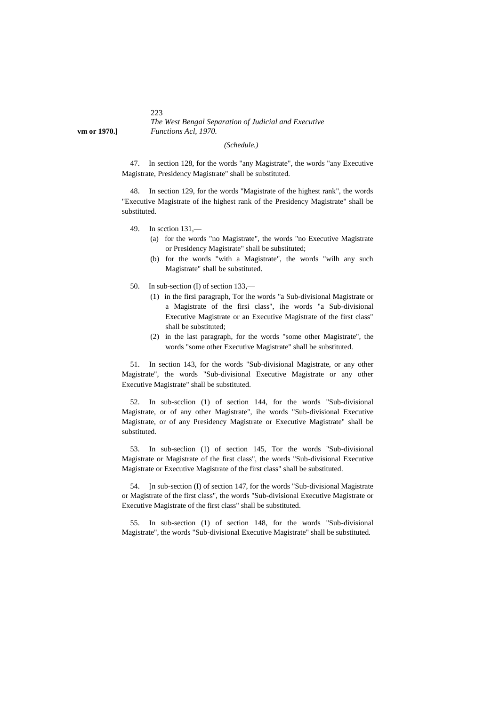## 223 *The West Bengal Separation of Judicial and Executive* **vm or 1970.]** *Functions Acl, 1970.*

#### *(Schedule.)*

47. In section 128, for the words "any Magistrate", the words "any Executive Magistrate, Presidency Magistrate" shall be substituted.

48. In section 129, for the words "Magistrate of the highest rank", the words "Executive Magistrate of ihe highest rank of the Presidency Magistrate" shall be substituted.

- 49. In scction 131,—
	- (a) for the words "no Magistrate", the words "no Executive Magistrate or Presidency Magistrate" shall be substituted;
	- (b) for the words "with a Magistrate", the words "wilh any such Magistrate" shall be substituted.
- 50. In sub-section (I) of section 133,—
	- (1) in the firsi paragraph, Tor ihe words "a Sub-divisional Magistrate or a Magistrate of the firsi class", ihe words "a Sub-divisional Executive Magistrate or an Executive Magistrate of the first class" shall be substituted;
	- (2) in the last paragraph, for the words "some other Magistrate", the words "some other Executive Magistrate" shall be substituted.

51. In section 143, for the words "Sub-divisional Magistrate, or any other Magistrate", the words "Sub-divisional Executive Magistrate or any other Executive Magistrate" shall be substituted.

52. In sub-scclion (1) of section 144, for the words "Sub-divisional Magistrate, or of any other Magistrate", ihe words "Sub-divisional Executive Magistrate, or of any Presidency Magistrate or Executive Magistrate" shall be substituted.

53. In sub-seclion (1) of section 145, Tor the words "Sub-divisional Magistrate or Magistrate of the first class", the words "Sub-divisional Executive Magistrate or Executive Magistrate of the first class" shall be substituted.

54. ]n sub-section (I) of section 147, for the words "Sub-divisional Magistrate or Magistrate of the first class", the words "Sub-divisional Executive Magistrate or Executive Magistrate of the first class" shall be substituted.

55. In sub-section (1) of section 148, for the words "Sub-divisional Magistrate", the words "Sub-divisional Executive Magistrate" shall be substituted.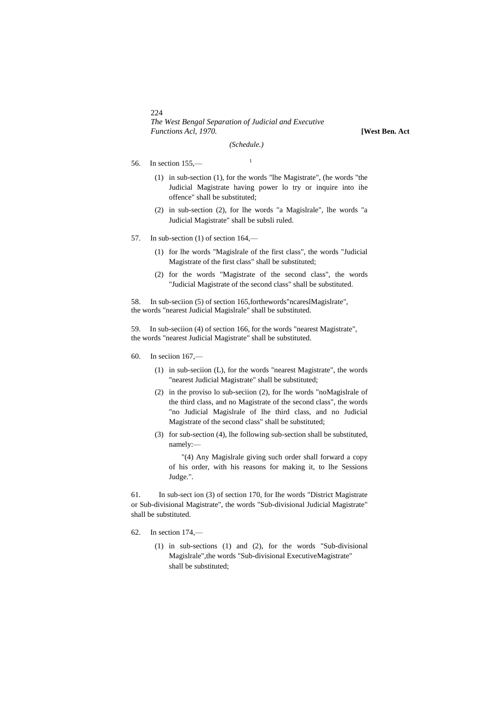224 *The West Bengal Separation of Judicial and Executive Functions Acl, 1970.* **[West Ben. Act**

*(Schedule.)*

- 56. In section 155,— <sup>1</sup>
	- (1) in sub-section (1), for the words "lhe Magistrate", (he words "the Judicial Magistrate having power lo try or inquire into ihe offence" shall be substituted;
	- (2) in sub-section (2), for lhe words "a Magislrale", lhe words "a Judicial Magistrate" shall be subsli ruled.
- 57. In sub-section (1) of section 164,—
	- (1) for lhe words "Magislrale of the first class", the words "Judicial Magistrate of the first class" shall be substituted;
	- (2) for the words "Magistrate of the second class", the words "Judicial Magistrate of the second class" shall be substituted.

58. In sub-seciion (5) of section 165,forthewords"ncareslMagislrate", the words "nearest Judicial Magislrale" shall be substituted.

59. In sub-seciion (4) of section 166, for the words "nearest Magistrate", the words "nearest Judicial Magistrate" shall be substituted.

- 60. In seciion 167,—
	- (1) in sub-seciion (L), for the words "nearest Magistrate", the words "nearest Judicial Magistrate" shall be substituted;
	- (2) in the proviso lo sub-seciion (2), for lhe words "noMagislrale of the third class, and no Magistrate of the second class", the words "no Judicial Magislrale of lhe third class, and no Judicial Magistrate of the second class" shall be substituted;
	- (3) for sub-section (4), lhe following sub-section shall be substituted, namely:—

"(4) Any Magislrale giving such order shall forward a copy of his order, with his reasons for making it, to lhe Sessions Judge.".

61. In sub-sect ion (3) of section 170, for Ihe words "District Magistrate or Sub-divisional Magistrate", the words "Sub-divisional Judicial Magistrate" shall be substituted.

- 62. In section 174,—
	- (1) in sub-sections (1) and (2), for the words "Sub-divisional Magislrale",the words "Sub-divisional ExecutiveMagistrate" shall be substituted;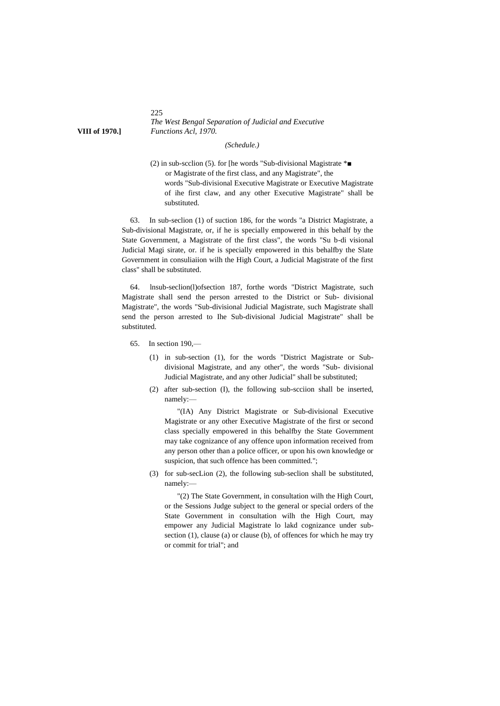## 225 *The West Bengal Separation of Judicial and Executive* **VIII of 1970.]** *Functions Acl, 1970.*

#### *(Schedule.)*

(2) in sub-scclion (5). for [he words "Sub-divisional Magistrate \*■ or Magistrate of the first class, and any Magistrate", the words "Sub-divisional Executive Magistrate or Executive Magistrate of ihe first claw, and any other Executive Magistrate" shall be substituted.

63. In sub-seclion (1) of suction 186, for the words "a District Magistrate, a Sub-divisional Magistrate, or, if he is specially empowered in this behalf by the State Government, a Magistrate of the first class", the words "Su b-di visional Judicial Magi sirate, or. if he is specially empowered in this behalfby the Slate Government in consuliaiion wilh the High Court, a Judicial Magistrate of the first class" shall be substituted.

64. lnsub-seclion(l)ofsection 187, forthe words "District Magistrate, such Magistrate shall send the person arrested to the District or Sub- divisional Magistrate", the words "Sub-divisional Judicial Magistrate, such Magistrate shall send the person arrested to Ihe Sub-divisional Judicial Magistrate" shall be substituted.

- 65. In section 190,—
	- (1) in sub-section (1), for the words "District Magistrate or Subdivisional Magistrate, and any other", the words "Sub- divisional Judicial Magistrate, and any other Judicial" shall be substituted;
	- (2) after sub-section (I), the following sub-scciion shall be inserted, namely:—

"(IA) Any District Magistrate or Sub-divisional Executive Magistrate or any other Executive Magistrate of the first or second class specially empowered in this behalfby the State Government may take cognizance of any offence upon information received from any person other than a police officer, or upon his own knowledge or suspicion, that such offence has been committed.";

(3) for sub-secLion (2), the following sub-seclion shall be substituted, namely:—

"(2) The State Government, in consultation wilh the High Court, or the Sessions Judge subject to the general or special orders of the State Government in consultation wilh the High Court, may empower any Judicial Magistrate lo lakd cognizance under subsection (1), clause (a) or clause (b), of offences for which he may try or commit for trial"; and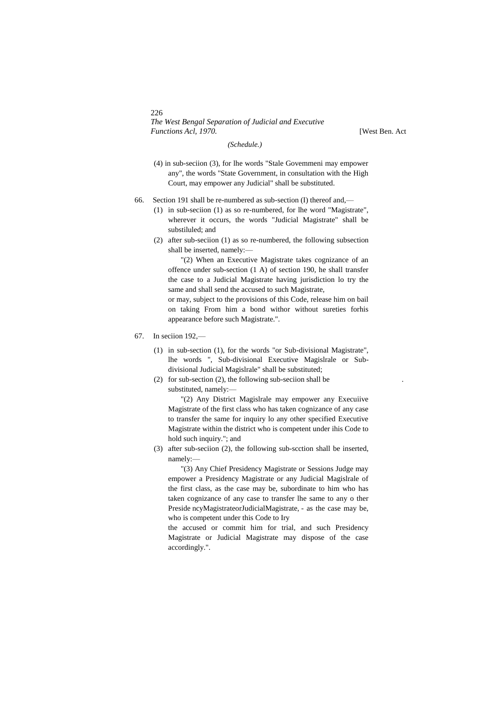# *The West Bengal Separation of Judicial and Executive Functions Acl, 1970.* [West Ben. Act

#### *(Schedule.)*

(4) in sub-seciion (3), for lhe words "Stale Govemmeni may empower any", the words "State Government, in consultation with the High Court, may empower any Judicial" shall be substituted.

#### 66. Section 191 shall be re-numbered as sub-section (I) thereof and,—

- (1) in sub-seciion (1) as so re-numbered, for lhe word "Magistrate", wherever it occurs, the words "Judicial Magistrate" shall be substiluled; and
- (2) after sub-seciion (1) as so re-numbered, the following subsection shall be inserted, namely:—

"(2) When an Executive Magistrate takes cognizance of an offence under sub-section (1 A) of section 190, he shall transfer the case to a Judicial Magistrate having jurisdiction lo try the same and shall send the accused to such Magistrate,

or may, subject to the provisions of this Code, release him on bail on taking From him a bond withor without sureties forhis appearance before such Magistrate.".

- 67. In seciion 192,—
	- (1) in sub-section (1), for the words "or Sub-divisional Magistrate", lhe words ", Sub-divisional Executive Magislrale or Subdivisional Judicial Magislrale" shall be substituted;
	- (2) for sub-section (2), the following sub-section shall be substituted, namely:—

"(2) Any District Magislrale may empower any Execuiive Magistrate of the first class who has taken cognizance of any case to transfer the same for inquiry lo any other specified Executive Magistrate within the district who is competent under ihis Code to hold such inquiry."; and

(3) after sub-seciion (2), the following sub-scction shall be inserted, namely:—

"(3) Any Chief Presidency Magistrate or Sessions Judge may empower a Presidency Magistrate or any Judicial Magislrale of the first class, as the case may be, subordinate to him who has taken cognizance of any case to transfer lhe same to any o ther Preside ncyMagistrateorJudicialMagistrate, - as the case may be, who is competent under this Code to Iry

the accused or commit him for trial, and such Presidency Magistrate or Judicial Magistrate may dispose of the case accordingly.".

#### 226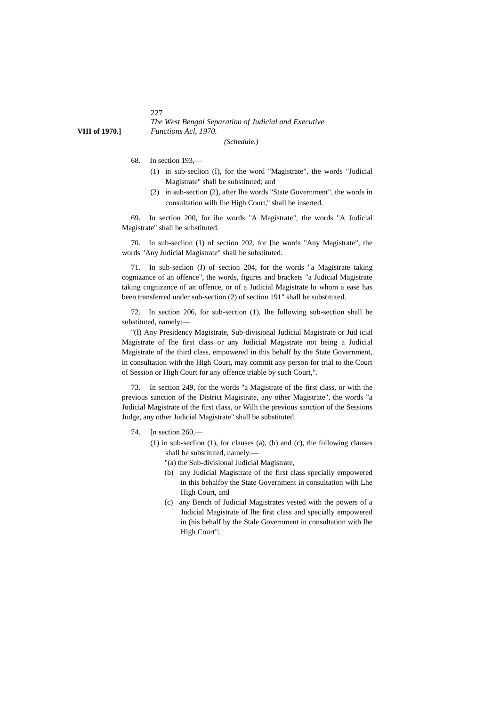227 *The West Bengal Separation of Judicial and Executive* **VIII of 1970.]** *Functions Acl, 1970.*

*(Schedule.)*

- 68. In section 193,—
	- (1) in sub-seclion (I), for the word "Magistrate", the words "Judicial Magistrate" shall be substituted; and
	- (2) in sub-section (2), after Ihe words "State Government", the words in consultation wilh Ihe High Court," shall be inserted.

69. In section 200, for ihe words "A Magistrate", the words "A Judicial Magistrate" shall be substituted.

70. In sub-seclion (1) of section 202, for [he words "Any Magistrate", the words "Any Judicial Magistrate" shall be substituted.

71. In sub-seclion (J) of section 204, for the words "a Magistrate taking cognizance of an offence", the words, figures and brackets "a Judicial Magistrate taking cognizance of an offence, or of a Judicial Magistrate lo whom a ease has been transferred under sub-section (2) of section 191" shall be substituted.

72. In section 206, for sub-section (1), Ihe following sub-section shall be substituted, namely:—

"(I) Any Presidency Magistrate, Sub-divisional Judicial Magistrate or Jud icial Magistrate of Ihe first class or any Judicial Magistrate not being a Judicial Magistrate of the third class, empowered in this behalf by the State Government, in consultation with the High Court, may commit any person for trial to the Court of Session or High Court for any offence triable by such Court,".

73. In section 249, for the words "a Magistrate of the first class, or with the previous sanction of the District Magistrate, any other Magistrate", the words "a Judicial Magistrate of the first class, or Wilh the previous sanction of the Sessions Judge, any other Judicial Magistrate" shall be substituted.

- 74. [n section 260,—
	- (1) in sub-seclion (1), for clauses (a), (b) and (c), the following clauses shall be substituted, namely:—
		- "(a) the Sub-divisional Judicial Magistrate,
		- (b) any Judicial Magistrate of the first class specially empowered in this behalfby the State Government in consultation wilh Lhe High Court, and
		- (c) any Bench of Judicial Magistrates vested with the powers of a Judicial Magistrate of lhe first class and specially empowered in (his behalf by the Stale Government in consultation with lhe High Court";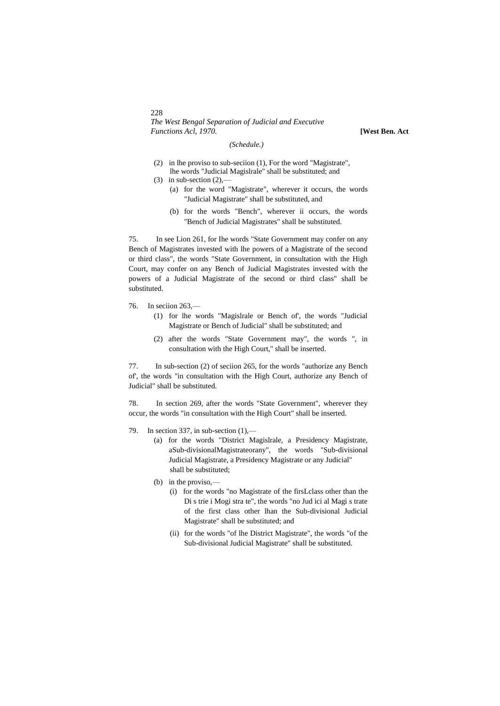## 228 *The West Bengal Separation of Judicial and Executive Functions Acl, 1970.* **[West Ben. Act**

#### *(Schedule.)*

- (2) in lhe proviso to sub-seciion (1), For the word "Magistrate", lhe words "Judicial Magislrale" shall be substituted; and
- (3) in sub-section  $(2)$ ,-
	- (a) for the word "Magistrate", wherever it occurs, the words "Judicial Magistrate" shall be substituted, and
	- (b) for the words "Bench", wherever ii occurs, the words "Bench of Judicial Magistrates" shall be substituted.

75. In see Lion 261, for Ihe words "State Government may confer on any Bench of Magistrates invested with lhe powers of a Magistrate of the second or third class", the words "State Government, in consultation with the High Court, may confer on any Bench of Judicial Magistrates invested with the powers of a Judicial Magistrate of the second or third class" shall be substituted.

- 76. In seciion 263,—
	- (1) for lhe words "Magislrale or Bench of', the words "Judicial Magistrate or Bench of Judicial" shall be substituted; and
	- (2) after the words "State Government may", the words ", in consultation with the High Court," shall be inserted.

77. In sub-section (2) of seciion 265, for the words "authorize any Bench of', the words "in consultation with the High Court, authorize any Bench of Judicial" shall be substituted.

78. In section 269, after the words "State Government", wherever they occur, the words "in consultation with the High Court" shall be inserted.

- 79. In section 337, in sub-section (1),—
	- (a) for the words "District Magislrale, a Presidency Magistrate, aSub-divisionalMagistrateorany", the words "Sub-divisional Judicial Magistrate, a Presidency Magistrate or any Judicial" shall be substituted;
	- (b) in the proviso,—
		- (i) for the words "no Magistrate of the firsLclass other than the Di s trie i Mogi stra te", the words "no Jud ici al Magi s trate of the first class other lhan the Sub-divisional Judicial Magistrate" shall be substituted; and
		- (ii) for the words "of lhe District Magistrate", the words "of the Sub-divisional Judicial Magistrate" shall be substituted.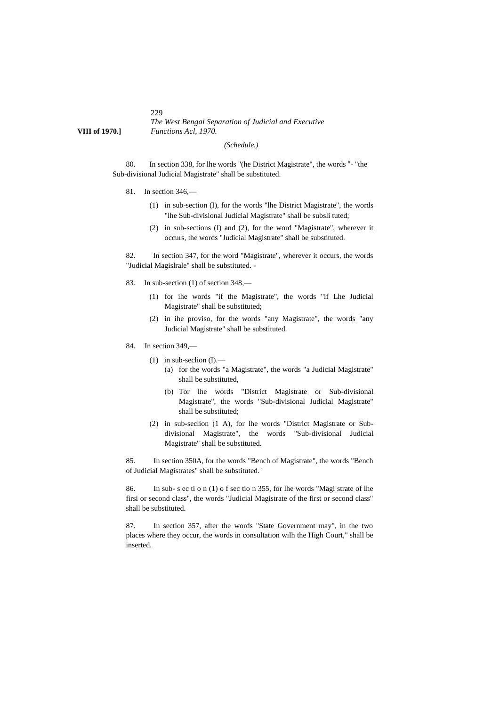## 229 *The West Bengal Separation of Judicial and Executive* **VIII of 1970.]** *Functions Acl, 1970.*

#### *(Schedule.)*

80. In section 338, for lhe words "(he District Magistrate", the words  $*$ - "the Sub-divisional Judicial Magistrate" shall be substituted.

- 81. In section 346,—
	- (1) in sub-section (I), for the words "lhe District Magistrate", the words "lhe Sub-divisional Judicial Magistrate" shall be subsli tuted;
	- (2) in sub-sections (I) and (2), for the word "Magistrate", wherever it occurs, the words "Judicial Magistrate" shall be substituted.

82. In section 347, for the word "Magistrate", wherever it occurs, the words "Judicial Magislrale" shall be substituted. -

- 83. In sub-section (1) of section 348,—
	- (1) for ihe words "if the Magistrate", the words "if Lhe Judicial Magistrate" shall be substituted;
	- (2) in ihe proviso, for the words "any Magistrate", the words "any Judicial Magistrate" shall be substituted.
- 84. In section 349,—
	- $(1)$  in sub-seclion  $(I)$ .
		- (a) for the words "a Magistrate", the words "a Judicial Magistrate" shall be substituted,
		- (b) Tor lhe words "District Magistrate or Sub-divisional Magistrate", the words "Sub-divisional Judicial Magistrate" shall be substituted;
	- (2) in sub-seclion (1 A), for lhe words "District Magistrate or Subdivisional Magistrate", the words "Sub-divisional Judicial Magistrate" shall be substituted.

85. In section 350A, for the words "Bench of Magistrate", the words "Bench of Judicial Magistrates" shall be substituted. '

86. In sub- s ec ti o n (1) o f sec tio n 355, for lhe words "Magi strate of lhe firsi or second class", the words "Judicial Magistrate of the first or second class" shall be substituted.

87. In section 357, after the words "State Government may", in the two places where they occur, the words in consultation wilh the High Court," shall be inserted.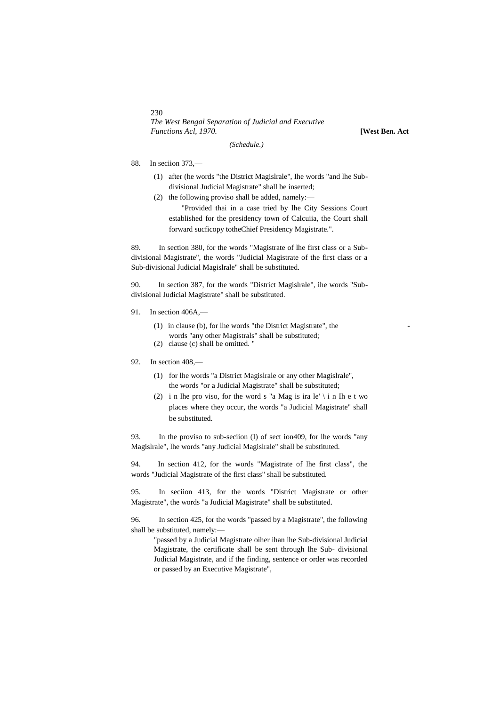230 *The West Bengal Separation of Judicial and Executive Functions Acl, 1970.* **[West Ben. Act**

*(Schedule.)*

88. In seciion 373,—

- (1) after (he words "the District Magislrale", Ihe words "and lhe Subdivisional Judicial Magistrate" shall be inserted;
- (2) the following proviso shall be added, namely:—

"Provided thai in a case tried by lhe City Sessions Court established for the presidency town of Calcuiia, the Court shall forward sucficopy totheChief Presidency Magistrate.".

89. In section 380, for the words "Magistrate of lhe first class or a Subdivisional Magistrate", the words "Judicial Magistrate of the first class or a Sub-divisional Judicial Magislrale" shall be substituted.

90. In section 387, for the words "District Magislrale", ihe words "Subdivisional Judicial Magistrate" shall be substituted.

- 91. In section 406A,—
	- $(1)$  in clause  $(b)$ , for lhe words "the District Magistrate", the words "any other Magistrals" shall be substituted;
	- (2) clause (c) shall be omitted. "
- 92. In section 408,—
	- (1) for lhe words "a District Magislrale or any other Magislrale", the words "or a Judicial Magistrate" shall be substituted;
	- (2) i n lhe pro viso, for the word s "a Mag is ira le'  $\iota$  i n Ih e t wo places where they occur, the words "a Judicial Magistrate" shall be substituted.

93. In the proviso to sub-seciion (I) of sect ion409, for lhe words "any Magislrale", lhe words "any Judicial Magislrale" shall be substituted.

94. In section 412, for the words "Magistrate of lhe first class", the words "Judicial Magistrate of the first class" shall be substituted.

95. In seciion 413, for the words "District Magistrate or other Magistrate", the words "a Judicial Magistrate" shall be substituted.

96. In section 425, for the words "passed by a Magistrate", the following shall be substituted, namely:—

"passed by a Judicial Magistrate oiher ihan lhe Sub-divisional Judicial Magistrate, the certificate shall be sent through lhe Sub- divisional Judicial Magistrate, and if the finding, sentence or order was recorded or passed by an Executive Magistrate",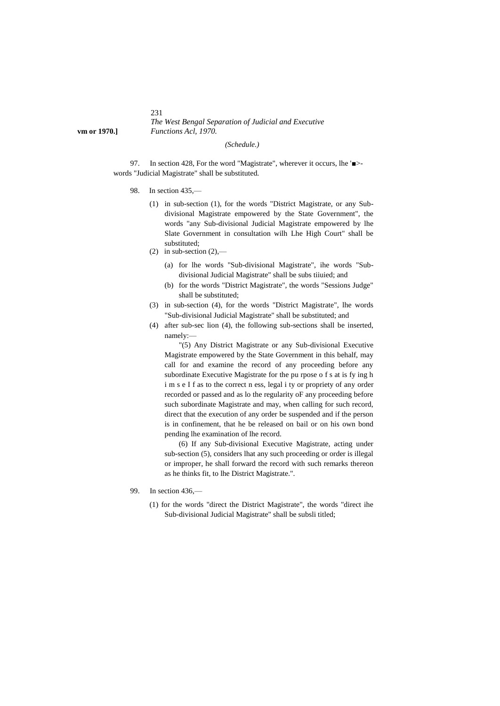231 *The West Bengal Separation of Judicial and Executive* **vm or 1970.]** *Functions Acl, 1970.*

*(Schedule.)*

97. In section 428, For the word "Magistrate", wherever it occurs, lhe '■> words "Judicial Magistrate" shall be substituted.

98. In section 435,—

(1) in sub-section (1), for the words "District Magistrate, or any Subdivisional Magistrate empowered by the State Government", the words "any Sub-divisional Judicial Magistrate empowered by lhe Slate Government in consultation wilh Lhe High Court" shall be substituted;

(2) in sub-section  $(2)$ ,—

- (a) for lhe words "Sub-divisional Magistrate", ihe words "Subdivisional Judicial Magistrate" shall be subs tiiuied; and
- (b) for the words "District Magistrate", the words "Sessions Judge" shall be substituted;
- (3) in sub-section (4), for the words "District Magistrate", lhe words "Sub-divisional Judicial Magistrate" shall be substituted; and
- (4) after sub-sec lion (4), the following sub-sections shall be inserted, namely:—

"(5) Any District Magistrate or any Sub-divisional Executive Magistrate empowered by the State Government in this behalf, may call for and examine the record of any proceeding before any subordinate Executive Magistrate for the pu rpose o f s at is fy ing h i m s e I f as to the correct n ess, legal i ty or propriety of any order recorded or passed and as lo the regularity oF any proceeding before such subordinate Magistrate and may, when calling for such record, direct that the execution of any order be suspended and if the person is in confinement, that he be released on bail or on his own bond pending lhe examination of lhe record.

(6) If any Sub-divisional Executive Magistrate, acting under sub-section (5), considers lhat any such proceeding or order is illegal or improper, he shall forward the record with such remarks thereon as he thinks fit, to lhe District Magistrate.".

- 99. In section 436,—
	- (1) for the words "direct the District Magistrate", the words "direct ihe Sub-divisional Judicial Magistrate" shall be subsli titled;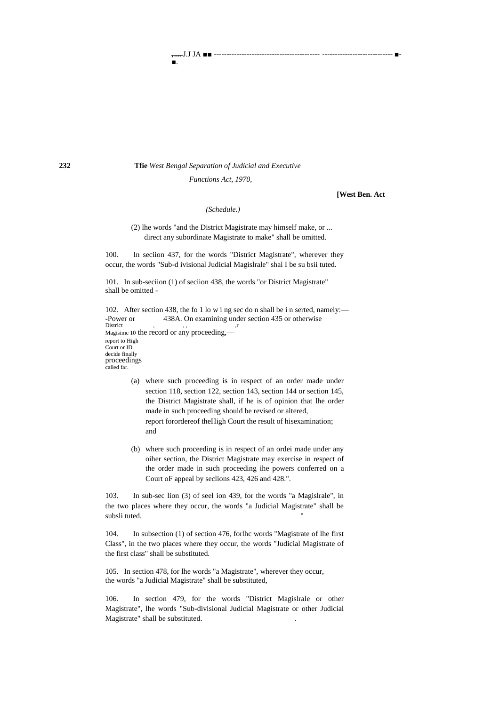**232 Tfie** *West Bengal Separation of Judicial and Executive Functions Act, 1970,*

■.

**[West Ben. Act**

*(Schedule.)*

## (2) lhe words "and the District Magistrate may himself make, or ... direct any subordinate Magistrate to make" shall be omitted.

,....J.J JA ■■ ------------------------------------------ ---------------------------- ■-

100. In seciion 437, for the words "District Magistrate", wherever they occur, the words "Sub-d ivisional Judicial Magislrale" shal I be su bsii tuted.

101. In sub-seciion (1) of seciion 438, the words "or District Magistrate" shall be omitted -

102. After section 438, the fo 1 lo w i ng sec do n shall be i n serted, namely:— -Power or 438A. On examining under section 435 or otherwise<br>District District , , , ,r Magisimc 10 the record or any proceeding, report to High Court or ID decide finally proceedings called far.

- (a) where such proceeding is in respect of an order made under section 118, section 122, section 143, section 144 or section 145, the District Magistrate shall, if he is of opinion that lhe order made in such proceeding should be revised or altered, report forordereof theHigh Court the result of hisexamination; and
- (b) where such proceeding is in respect of an ordei made under any oiher section, the District Magistrate may exercise in respect of the order made in such proceeding ihe powers conferred on a Court oF appeal by seclions 423, 426 and 428.".

103. In sub-sec lion (3) of seel ion 439, for the words "a Magislrale", in the two places where they occur, the words "a Judicial Magistrate" shall be subsli tuted.

104. In subsection (1) of section 476, forlhc words "Magistrate of lhe first Class", in the two places where they occur, the words "Judicial Magistrate of the first class" shall be substituted.

105. In section 478, for lhe words "a Magistrate", wherever they occur, the words "a Judicial Magistrate" shall be substituted,

106. In section 479, for the words "District Magislrale or other Magistrate", lhe words "Sub-divisional Judicial Magistrate or other Judicial Magistrate" shall be substituted. .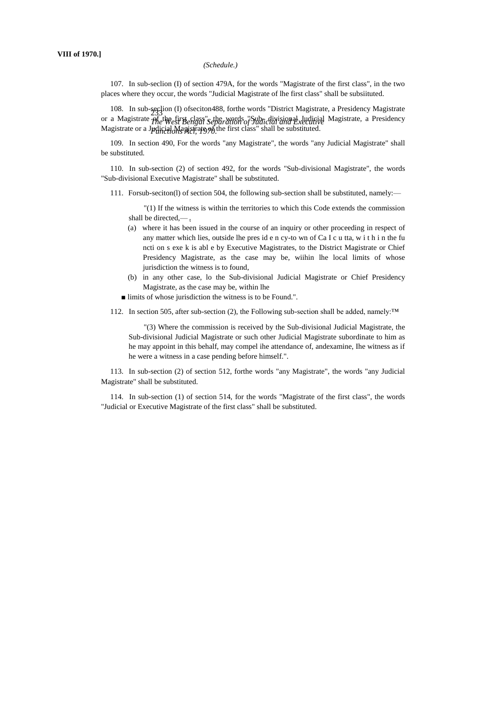107. In sub-seclion (I) of section 479A, for the words "Magistrate of the first class", in the two places where they occur, the words "Judicial Magistrate of lhe first class" shall be subsiituted.

108. In sub-seclion (I) of seciton 488, for the words "District Magistrate, a Presidency Magistrate *The West Bengal Separation of Judicial and Executive Functions Acl, 1970.* or a Magistrate  $\widehat{\rho}$  the first class", the words "Sub- divisional Judicial Magistrate, a Presidency Magistrate or a Judicial Magistrate of the first class" shall be substituted.

109. In section 490, For the words "any Magistrate", the words "any Judicial Magistrate" shall be substituted.

110. In sub-section (2) of section 492, for the words "Sub-divisional Magistrate", the words "Sub-divisional Executive Magistrate" shall be substituted.

111. Forsub-seciton(l) of section 504, the following sub-section shall be substituted, namely:—

"(1) If the witness is within the territories to which this Code extends the commission shall be directed, $-$ ,

- (a) where it has been issued in the course of an inquiry or other proceeding in respect of any matter which lies, outside lhe pres id e n cy-to wn of Ca I c u tta, w i t h i n the fu ncti on s exe k is abl e by Executive Magistrates, to the District Magistrate or Chief Presidency Magistrate, as the case may be, wiihin lhe local limits of whose jurisdiction the witness is to found,
- (b) in any other case, lo the Sub-divisional Judicial Magistrate or Chief Presidency Magistrate, as the case may be, within lhe

■ limits of whose jurisdiction the witness is to be Found.".

112. In section 505, after sub-section (2), the Following sub-section shall be added, namely:<sup>™</sup>

"(3) Where the commission is received by the Sub-divisional Judicial Magistrate, the Sub-divisional Judicial Magistrate or such other Judicial Magistrate subordinate to him as he may appoint in this behalf, may compel ihe attendance of, andexamine, Ihe witness as if he were a witness in a case pending before himself.".

113. In sub-section (2) of section 512, forthe words "any Magistrate", the words "any Judicial Magistrate" shall be substituted.

114. In sub-section (1) of section 514, for the words "Magistrate of the first class", the words "Judicial or Executive Magistrate of the first class" shall be substituted.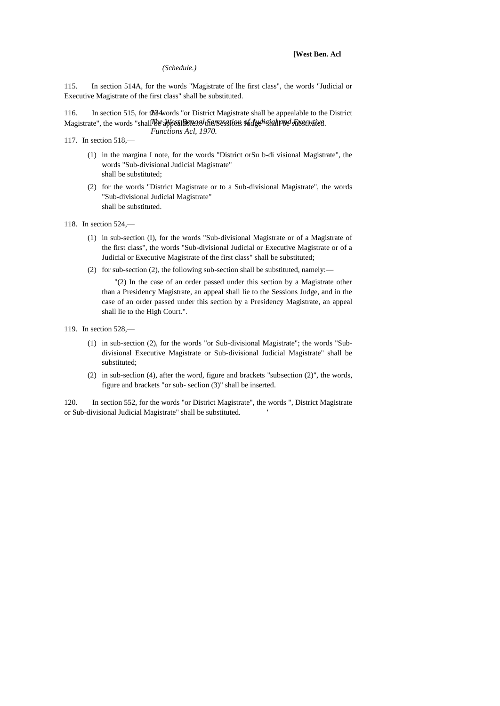115. In section 514A, for the words "Magistrate of lhe first class", the words "Judicial or Executive Magistrate of the first class" shall be substituted.

116. In section 515, for the 4words "or District Magistrate shall be appealable to the District Magistrate", the words "shall be appeal beread the sessions of dyclisial rood shosautive. *Functions Acl, 1970.*

- 117. In section 518,—
	- (1) in the margina I note, for the words "District orSu b-di visional Magistrate", the words "Sub-divisional Judicial Magistrate" shall be substituted;
	- (2) for the words "District Magistrate or to a Sub-divisional Magistrate", the words "Sub-divisional Judicial Magistrate" shall be substituted.
- 118. In section 524,—
	- (1) in sub-section (I), for the words "Sub-divisional Magistrate or of a Magistrate of the first class", the words "Sub-divisional Judicial or Executive Magistrate or of a Judicial or Executive Magistrate of the first class" shall be substituted;
	- (2) for sub-section (2), the following sub-section shall be substituted, namely:—

"(2) In the case of an order passed under this section by a Magistrate other than a Presidency Magistrate, an appeal shall lie to the Sessions Judge, and in the case of an order passed under this section by a Presidency Magistrate, an appeal shall lie to the High Court.".

- 119. In section 528,—
	- (1) in sub-section (2), for the words "or Sub-divisional Magistrate"; the words "Subdivisional Executive Magistrate or Sub-divisional Judicial Magistrate" shall be substituted;
	- (2) in sub-seclion (4), after the word, figure and brackets "subsection (2)", the words, figure and brackets "or sub- seclion (3)" shall be inserted.

120. In section 552, for the words "or District Magistrate", the words ", District Magistrate or Sub-divisional Judicial Magistrate" shall be substituted. '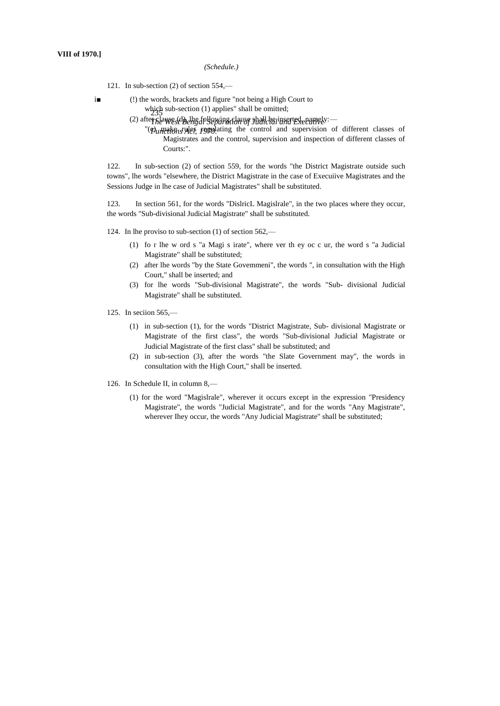121. In sub-section (2) of section 554,—

- which sub-section  $(1)$  applies" shall be omitted; i■ (!) the words, brackets and figure "not being a High Court to
	- *The West Bengal Separation of Judicial and Executive* (2) after clause (d), lhe following clause shall be inserted, namely:—

"(Pumakons Aler, 1970). ating the control and supervision of different classes of Magistrates and the control, supervision and inspection of different classes of Courts:".

122. In sub-section (2) of section 559, for the words "the District Magistrate outside such towns", lhe words "elsewhere, the District Magistrate in the case of Execuiive Magistrates and the Sessions Judge in lhe case of Judicial Magistrates" shall be substituted.

123. In section 561, for the words "DislricL Magislrale", in the two places where they occur, the words "Sub-divisional Judicial Magistrate" shall be substituted.

124. In lhe proviso to sub-section (1) of section 562,—

- (1) fo r lhe w ord s "a Magi s irate", where ver th ey oc c ur, the word s "a Judicial Magistrate" shall be substituted;
- (2) after lhe words "by the State Govemmeni", the words ", in consultation with the High Court," shall be inserted; and
- (3) for lhe words "Sub-divisional Magistrate", the words "Sub- divisional Judicial Magistrate" shall be substituted.
- 125. In seciion 565,—
	- (1) in sub-section (1), for the words "District Magistrate, Sub- divisional Magistrate or Magistrate of the first class", the words "Sub-divisional Judicial Magistrate or Judicial Magistrate of the first class" shall be substituted; and
	- (2) in sub-section (3), after the words "the Slate Government may", the words in consultation with the High Court," shall be inserted.
- 126. In Schedule II, in column 8,—
	- (1) for the word "Magislrale", wherever it occurs except in the expression "Presidency Magistrate", the words "Judicial Magistrate", and for the words "Any Magistrate", wherever Ihey occur, the words "Any Judicial Magistrate" shall be substituted;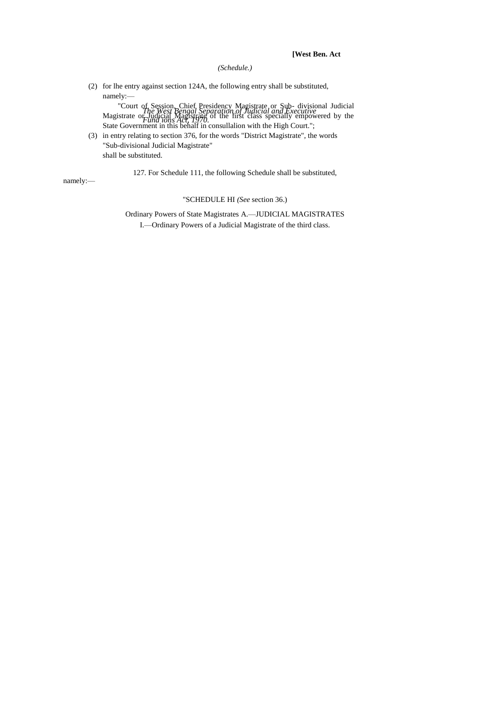## **[West Ben. Act**

## *(Schedule.)*

(2) for lhe entry against section 124A, the following entry shall be substituted, namely:—

*The West Bengal Separation of Judicial and Executive Fund ions Act, 1970.* "Court of Session, Chief Presidency Magistrate or Sub- divisional Judicial Magistrate or Judicial Magistrate of the first class specially empowered by the State Government in this behalf in consullalion with the High Court.";

(3) in entry relating to section 376, for the words "District Magistrate", the words "Sub-divisional Judicial Magistrate" shall be substituted.

127. For Schedule 111, the following Schedule shall be substituted,

namely:—

## "SCHEDULE HI *(See* section 36.)

Ordinary Powers of State Magistrates A.—JUDICIAL MAGISTRATES I.—Ordinary Powers of a Judicial Magistrate of the third class.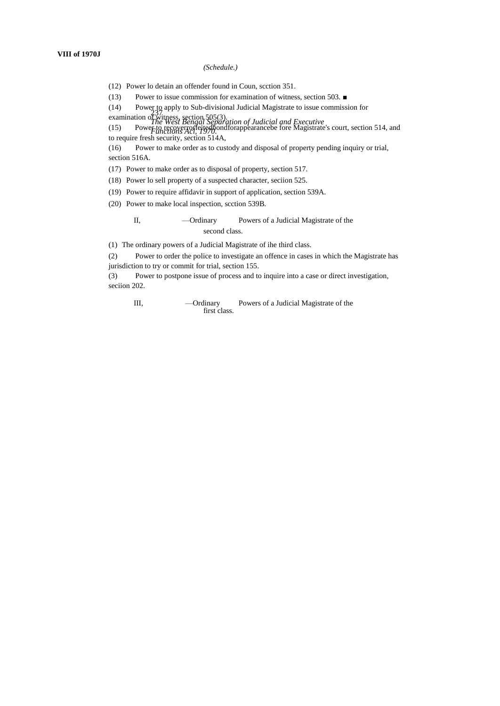(12) Power lo detain an offender found in Coun, scction 351.

(13) Power to issue commission for examination of witness, section 503. ■

237 (14) Power to apply to Sub-divisional Judicial Magistrate to issue commission for

*The West Bengal Separation of Judicial and Executive* examination of witness, section 505(3).

*Functions Acl, 1970.* (15) Power to recoverrorfeitedbondforappearancebe fore Magistrate's court, section 514, and to require fresh security, section 514A,

(16) Power to make order as to custody and disposal of property pending inquiry or trial, section 516A.

(17) Power to make order as to disposal of property, section 517.

(18) Power lo sell property of a suspected character, seciion 525.

(19) Power to require affidavir in support of application, section 539A.

(20) Power to make local inspection, scction 539B.

## II, —Ordinary Powers of a Judicial Magistrate of the second class.

(1) The ordinary powers of a Judicial Magistrate of ihe third class.

(2) Power to order the police to investigate an offence in cases in which the Magistrate has jurisdiction to try or commit for trial, section 155.

(3) Power to postpone issue of process and to inquire into a case or direct investigation, seciion 202.

III, —Ordinary Powers of a Judicial Magistrate of the first class.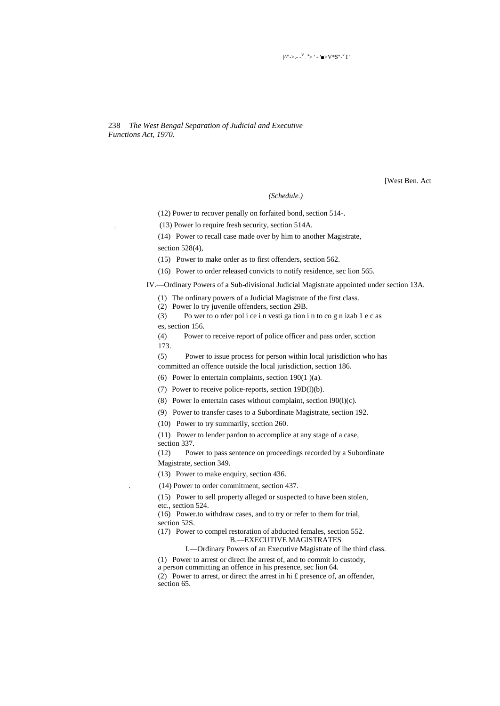|^"->.- -<sup>v</sup> . <sup>s</sup>> ' - '■>V\*S"-<sup>v</sup> I "

238 *The West Bengal Separation of Judicial and Executive Functions Act, 1970.*

[West Ben. Act

## *(Schedule.)*

(12) Power to recover penally on forfaited bond, section 514-.

(13) Power lo require fresh security, section 514A.

(14) Power to recall case made over by him to another Magistrate,

section 528(4),

;

(15) Power to make order as to first offenders, section 562.

(16) Power to order released convicts to notify residence, sec lion 565.

IV.—Ordinary Powers of a Sub-divisional Judicial Magistrate appointed under section 13A.

(1) The ordinary powers of a Judicial Magistrate of the first class.

(2) Power lo try juvenile offenders, section 29B.

(3) Po wer to o rder pol i ce i n vesti ga tion i n to co g n izab 1 e c as es, section 156.

(4) Power to receive report of police officer and pass order, scction 173.

(5) Power to issue process for person within local jurisdiction who has committed an offence outside the local jurisdiction, section 186.

(6) Power lo entertain complaints, section 190(1 )(a).

(7) Power to receive police-reports, section 19D(l)(b).

(8) Power lo entertain cases without complaint, section  $190(1)(c)$ .

(9) Power to transfer cases to a Subordinate Magistrate, section 192.

(10) Power to try summarily, scction 260.

(11) Power to lender pardon to accomplice at any stage of a case, section 337.

(12) Power to pass sentence on proceedings recorded by a Subordinate Magistrate, section 349.

(13) Power to make enquiry, section 436.

. (14) Power to order commitment, section 437.

(15) Power to sell property alleged or suspected to have been stolen, etc., section 524.

(16) Power.to withdraw cases, and to try or refer to them for trial, section 52S.

(17) Power to compel restoration of abducted females, section 552. B.—EXECUTIVE MAGISTRATES

I.—Ordinary Powers of an Executive Magistrate of lhe third class.

(1) Power to arrest or direct lhe arrest of, and to commit lo custody,

a person committing an offence in his presence, sec lion 64.

(2) Power to arrest, or direct the arrest in hi £ presence of, an offender, section 65.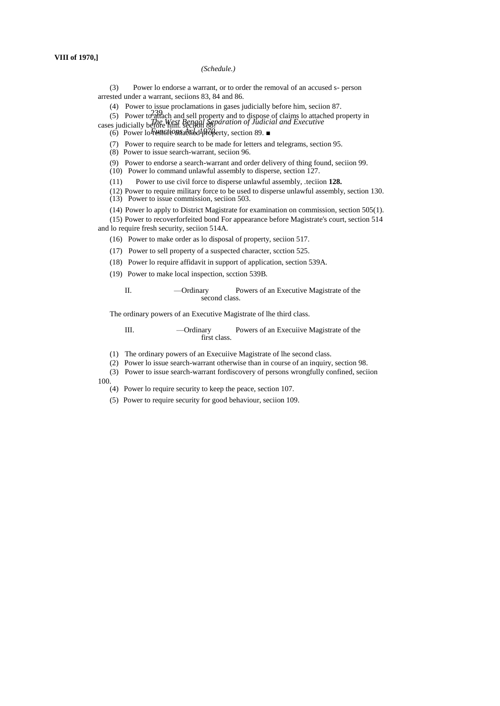(3) Power lo endorse a warrant, or to order the removal of an accused s- person arrested under a warrant, seciions 83, 84 and 86.

(4) Power to issue proclamations in gases judicially before him, seciion 87.

239 (5) Power to attach and sell property and to dispose of claims lo attached property in<br>securities the *Research Bengal Separation of Judicial and Executive* cases judicially before him. Secificit 88.

*Functions Acl, 1970.* (6) Power lo restore attached property, section 89. ■

(7) Power to require search to be made for letters and telegrams, section 95.

(8) Power to issue search-warrant, seciion 96.

(9) Power to endorse a search-warrant and order delivery of thing found, seciion 99.

(10) Power lo command unlawful assembly to disperse, section 127.

(11) Power to use civil force to disperse unlawful assembly, .teciion **128.**

(12) Power to require military force to be used to disperse unlawful assembly, section 130.

(13) Power to issue commission, seciion 503.

(14) Power lo apply to District Magistrate for examination on commission, section 505(1).

(15) Power to recoverforfeited bond For appearance before Magistrate's court, section 514 and lo require fresh security, seciion 514A.

(16) Power to make order as lo disposal of property, seciion 517.

(17) Power to sell property of a suspected character, scction 525.

(18) Power lo require affidavit in support of application, section 539A.

(19) Power to make local inspection, scction 539B.

II. —Ordinary Powers of an Executive Magistrate of the second class.

The ordinary powers of an Executive Magistrate of lhe third class.

III. —Ordinary Powers of an Execuiive Magistrate of the first class.

(1) The ordinary powers of an Execuiive Magistrate of lhe second class.

(2) Power lo issue search-warrant otherwise than in course of an inquiry, section 98.

(3) Power to issue search-warrant fordiscovery of persons wrongfully confined, seciion

100.

(4) Power lo require security to keep the peace, section 107.

(5) Power to require security for good behaviour, seciion 109.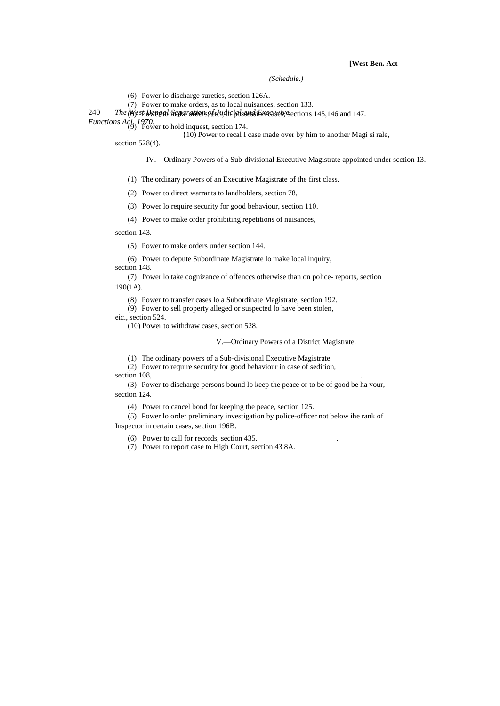## **[West Ben. Act**

## *(Schedule.)*

(6) Power lo discharge sureties, scction 126A.

(7) Power to make orders, as to local nuisances, section 133.

240 *The West Bengal Separation of Judicial and Exec wive* (8) Power to make orders, etc., in possession cases, sections 145,146 and 147.

*Functions*  $A_{(1)}(1970)$ *.*<br>Power to hold inquest, section 174.

{10) Power to recal I case made over by him to another Magi si rale,

scction 528(4).

IV.—Ordinary Powers of a Sub-divisional Executive Magistrate appointed under scction 13.

(1) The ordinary powers of an Executive Magistrate of the first class.

(2) Power to direct warrants to landholders, section 78,

(3) Power lo require security for good behaviour, section 110.

(4) Power to make order prohibiting repetitions of nuisances,

section 143.

(5) Power to make orders under section 144.

(6) Power to depute Subordinate Magistrate lo make local inquiry, section 148.

(7) Power lo take cognizance of offenccs otherwise than on police- reports, section 190(1A).

(8) Power to transfer cases lo a Subordinate Magistrate, section 192.

(9) Power to sell property alleged or suspected lo have been stolen,

eic., section 524.

(10) Power to withdraw cases, section 528.

V.—Ordinary Powers of a District Magistrate.

(1) The ordinary powers of a Sub-divisional Executive Magistrate.

(2) Power to require security for good behaviour in case of sedition, section 108,

(3) Power to discharge persons bound lo keep the peace or to be of good be ha vour, section 124.

(4) Power to cancel bond for keeping the peace, section 125.

(5) Power lo order preliminary investigation by police-officer not below ihe rank of Inspector in certain cases, section 196B.

(6) Power to call for records, section 435.

(7) Power to report case to High Court, section 43 8A.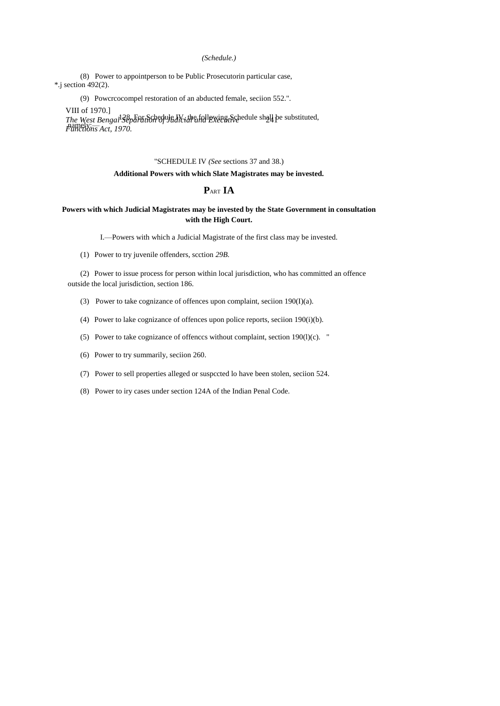(8) Power to appointperson to be Public Prosecutorin particular case, \*.j section 492(2).

(9) Powcrcocompel restoration of an abducted female, seciion 552.".

VIII of 1970.]

*The West Bengal Separation of Judicial and Executive* 241 *Functions Act, 1970.* 138<sub>p</sub>For Schedule IV, the following Schedule shall be substituted,  $\lim_{n\to\infty}$ 

# "SCHEDULE IV *(See* sections 37 and 38.)

## **Additional Powers with which Slate Magistrates may be invested.**

# **P**ART **IA**

## **Powers with which Judicial Magistrates may be invested by the State Government in consultation with the High Court.**

I.—Powers with which a Judicial Magistrate of the first class may be invested.

(1) Power to try juvenile offenders, scction *29B.*

(2) Power to issue process for person within local jurisdiction, who has committed an offence outside the local jurisdiction, section 186.

- (3) Power to take cognizance of offences upon complaint, seciion  $190(I)(a)$ .
- (4) Power to lake cognizance of offences upon police reports, seciion 190(i)(b).
- (5) Power to take cognizance of offenccs without complaint, section 190(l)(c). "
- (6) Power to try summarily, seciion 260.
- (7) Power to sell properties alleged or suspccted lo have been stolen, seciion 524.
- (8) Power to iry cases under section 124A of the Indian Penal Code.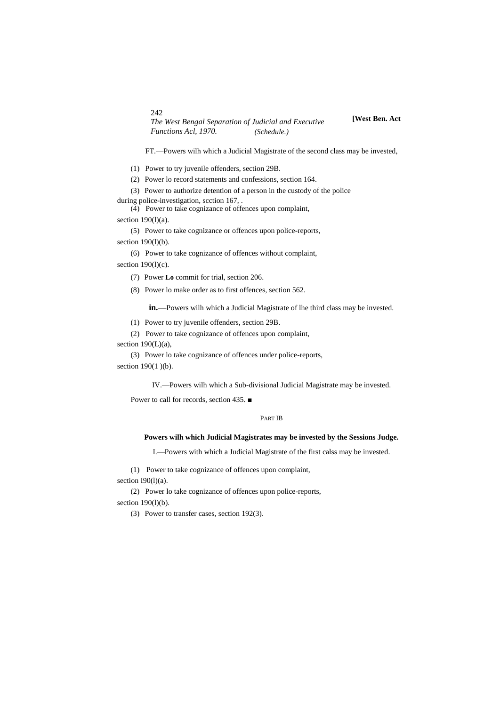242 *The West Bengal Separation of Judicial and Executive Functions Acl, 1970. (Schedule.)*

**[West Ben. Act**

FT.—Powers wilh which a Judicial Magistrate of the second class may be invested,

(1) Power to try juvenile offenders, section 29B.

(2) Power lo record statements and confessions, section 164.

(3) Power to authorize detention of a person in the custody of the police during police-investigation, scction 167, .

(4) Power to take cognizance of offences upon complaint,

section 190(l)(a).

(5) Power to take cognizance or offences upon police-reports, section 190(l)(b).

(6) Power to take cognizance of offences without complaint,

section  $190(l)(c)$ .

(7) Power **Lo** commit for trial, section 206.

(8) Power lo make order as to first offences, section 562.

**in.—**Powers wilh which a Judicial Magistrate of lhe third class may be invested.

(1) Power to try juvenile offenders, section 29B.

(2) Power to take cognizance of offences upon complaint,

section 190(L)(a),

(3) Power lo take cognizance of offences under police-reports, section 190(1)(b).

IV.—Powers wilh which a Sub-divisional Judicial Magistrate may be invested.

Power to call for records, section 435. ■

## PART IB

#### **Powers wilh which Judicial Magistrates may be invested by the Sessions Judge.**

I.—Powers with which a Judicial Magistrate of the first calss may be invested.

(1) Power to take cognizance of offences upon complaint, section I90(1)(a).

(2) Power lo take cognizance of offences upon police-reports,

section 190(l)(b).

(3) Power to transfer cases, section 192(3).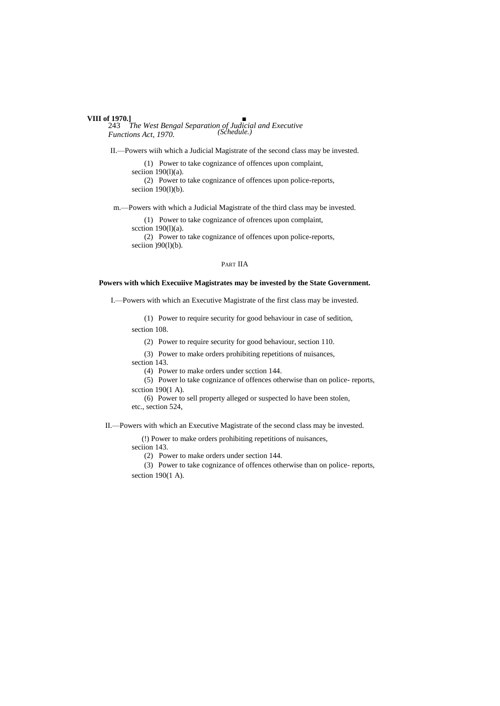#### **VIII of 1970.] ■**

243 *The West Bengal Separation of Judicial and Executive Functions Act, 1970. (Schedule.)*

II.—Powers wiih which a Judicial Magistrate of the second class may be invested.

(1) Power to take cognizance of offences upon complaint,

seciion  $190(1)(a)$ .

(2) Power to take cognizance of offences upon police-reports, seciion 190(l)(b).

m.—Powers with which a Judicial Magistrate of the third class may be invested.

(1) Power to take cognizance of ofrences upon complaint,

scction 190(l)(a).

(2) Power to take cognizance of offences upon police-reports,

seciion  $)90(1)(b)$ .

## PART IIA

## **Powers with which Execuiive Magistrates may be invested by the State Government.**

I.—Powers with which an Executive Magistrate of the first class may be invested.

(1) Power to require security for good behaviour in case of sedition,

section 108.

(2) Power to require security for good behaviour, section 110.

(3) Power to make orders prohibiting repetitions of nuisances,

section 143.

(4) Power to make orders under scction 144.

(5) Power lo take cognizance of offences otherwise than on police- reports, scction 190(1 A).

(6) Power to sell property alleged or suspected lo have been stolen,

etc., section 524,

II.—Powers with which an Executive Magistrate of the second class may be invested.

(!) Power to make orders prohibiting repetitions of nuisances,

seciion 143.

(2) Power to make orders under section 144.

(3) Power to take cognizance of offences otherwise than on police- reports, section 190(1 A).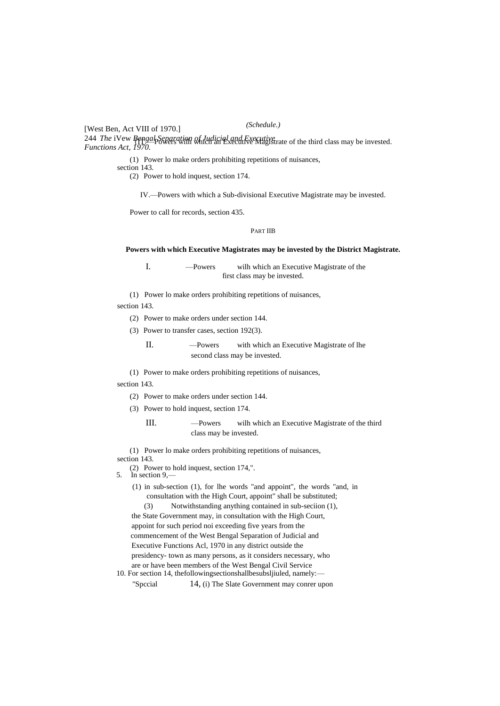[West Ben, Act VIII of 1970.]

## *(Schedule.)*

244 *The* iVew *Bengal Separation of Judicial and Executive* 244 The TVEW Dept<u>sure Wilh which an Executive Magist</u>rate of the third class may be invested.<br>Functions Act, 1970.

(1) Power lo make orders prohibiting repetitions of nuisances,

section 143.

(2) Power to hold inquest, section 174.

IV.—Powers with which a Sub-divisional Executive Magistrate may be invested.

Power to call for records, section 435.

#### PART IIB

#### **Powers with which Executive Magistrates may be invested by the District Magistrate.**

I. —Powers wilh which an Executive Magistrate of the first class may be invested.

(1) Power lo make orders prohibiting repetitions of nuisances,

section 143.

- (2) Power to make orders under section 144.
- (3) Power to transfer cases, section 192(3).

II. —Powers with which an Executive Magistrate of lhe second class may be invested.

(1) Power to make orders prohibiting repetitions of nuisances,

#### section 143.

- (2) Power to make orders under section 144.
- (3) Power to hold inquest, section 174.
	- III. —Powers wilh which an Executive Magistrate of the third class may be invested.

(1) Power lo make orders prohibiting repetitions of nuisances, section 143.

- (2) Power to hold inquest, section 174,".
- 5. In section 9,—
	- (1) in sub-section (1), for lhe words "and appoint", the words "and, in consultation with the High Court, appoint" shall be substituted;

(3) Notwithstanding anything contained in sub-seciion (1), the State Government may, in consultation with the High Court, appoint for such period noi exceeding five years from the commencement of the West Bengal Separation of Judicial and Executive Functions Acl, 1970 in any district outside the presidency- town as many persons, as it considers necessary, who are or have been members of the West Bengal Civil Service

10. For section 14, thefollowingsectionshallbesubsljiuled, namely:— "Spccial 14, (i) The Slate Government may conrer upon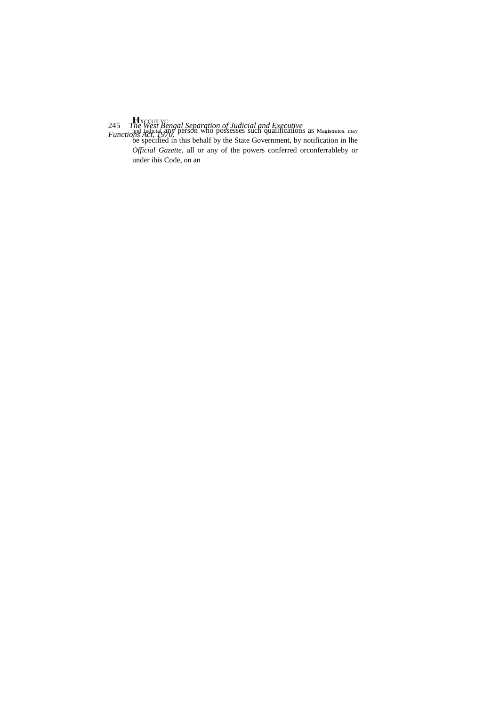245 *The West Bengal Separation of Judicial and Executive* H<sub>X</sub>CCUILVC

*Functions Act, 1970.* ne west Bengat Separation by state at that Executive<br>and Judicial any person who possesses such qualifications as Magistrates. may be specified in this behalf by the State Government, by notification in lhe *Official Gazette*, all or any of the powers conferred orconferrableby or under ihis Code, on an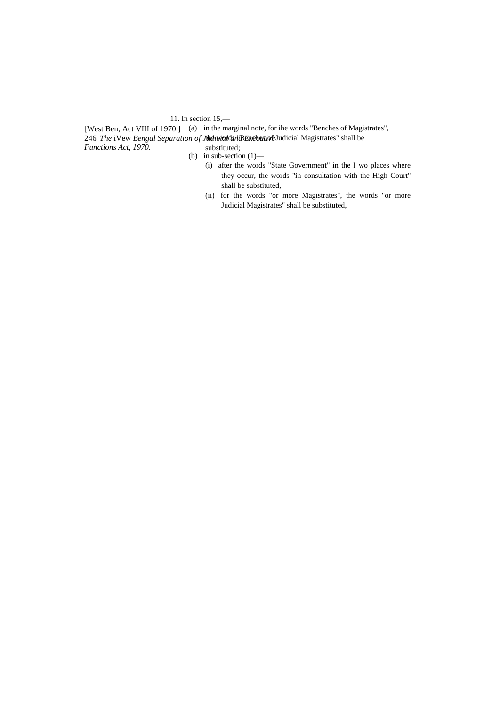# 11. In section 15,—

[West Ben, Act VIII of 1970.] (a) in the marginal note, for ihe words "Benches of Magistrates", 246 *The* iVew *Bengal Separation of Jundiwialdsvi'BEnehverive* Judicial Magistrates" shall be *Functions Act, 1970.* substituted;

- (b) in sub-section  $(1)$ 
	- (i) after the words "State Government" in the I wo places where they occur, the words "in consultation with the High Court" shall be substituted,
	- (ii) for the words "or more Magistrates", the words "or more Judicial Magistrates" shall be substituted,